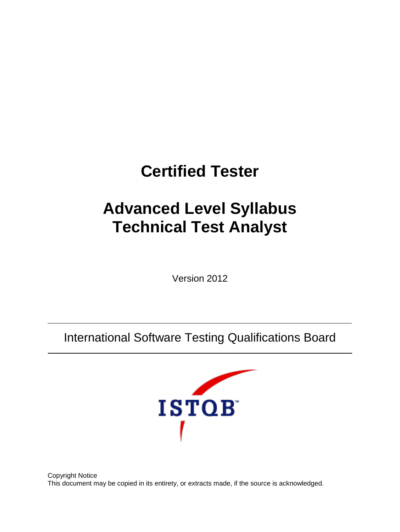# **Certified Tester**

# **Advanced Level Syllabus Technical Test Analyst**

Version 2012

International Software Testing Qualifications Board



Copyright Notice This document may be copied in its entirety, or extracts made, if the source is acknowledged.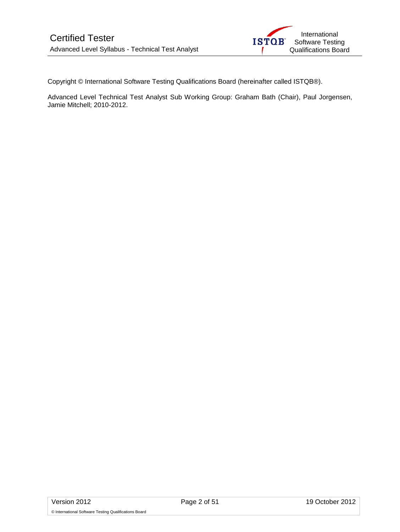

Copyright © International Software Testing Qualifications Board (hereinafter called ISTQB®).

Advanced Level Technical Test Analyst Sub Working Group: Graham Bath (Chair), Paul Jorgensen, Jamie Mitchell; 2010-2012.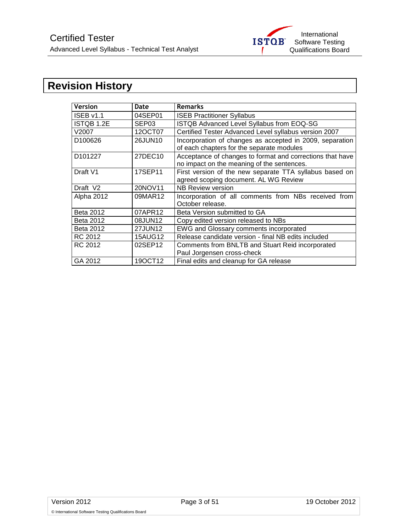

# <span id="page-2-0"></span>**Revision History**

| <b>Version</b>       | Date              | <b>Remarks</b>                                                                                          |
|----------------------|-------------------|---------------------------------------------------------------------------------------------------------|
| ISEB v1.1            | 04SEP01           | <b>ISEB Practitioner Syllabus</b>                                                                       |
| <b>ISTQB 1.2E</b>    | SEP <sub>03</sub> | ISTQB Advanced Level Syllabus from EOQ-SG                                                               |
| V2007                | 12OCT07           | Certified Tester Advanced Level syllabus version 2007                                                   |
| D <sub>100626</sub>  | 26JUN10           | Incorporation of changes as accepted in 2009, separation<br>of each chapters for the separate modules   |
| D <sub>101227</sub>  | 27DEC10           | Acceptance of changes to format and corrections that have<br>no impact on the meaning of the sentences. |
| Draft V1             | 17SEP11           | First version of the new separate TTA syllabus based on<br>agreed scoping document. AL WG Review        |
| Draft V <sub>2</sub> | 20NOV11           | NB Review version                                                                                       |
| Alpha 2012           | 09MAR12           | Incorporation of all comments from NBs received from<br>October release.                                |
| Beta 2012            | 07APR12           | Beta Version submitted to GA                                                                            |
| Beta 2012            | 08JUN12           | Copy edited version released to NBs                                                                     |
| <b>Beta 2012</b>     | 27JUN12           | EWG and Glossary comments incorporated                                                                  |
| RC 2012              | <b>15AUG12</b>    | Release candidate version - final NB edits included                                                     |
| RC 2012              | 02SEP12           | Comments from BNLTB and Stuart Reid incorporated<br>Paul Jorgensen cross-check                          |
| GA 2012              | 190CT12           | Final edits and cleanup for GA release                                                                  |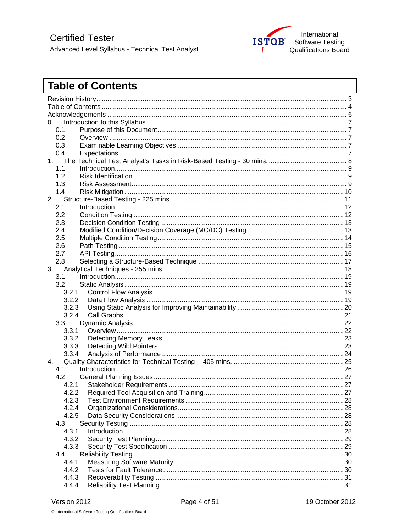

# <span id="page-3-0"></span>**Table of Contents**

| 0.    |                                         |     |  |
|-------|-----------------------------------------|-----|--|
| 0.1   |                                         |     |  |
| 0.2   |                                         |     |  |
| 0.3   |                                         |     |  |
| 0.4   |                                         |     |  |
| 1.    |                                         |     |  |
| 1.1   |                                         |     |  |
| 1.2   |                                         |     |  |
| 1.3   |                                         |     |  |
| 1.4   |                                         |     |  |
| 2.    |                                         |     |  |
| 2.1   |                                         |     |  |
| 2.2   |                                         |     |  |
| 2.3   |                                         |     |  |
| 2.4   |                                         |     |  |
| 2.5   |                                         |     |  |
| 2.6   |                                         |     |  |
| 2.7   |                                         |     |  |
| 2.8   |                                         |     |  |
| 3.    |                                         |     |  |
| 3.1   |                                         |     |  |
| 3.2   |                                         |     |  |
| 3.2.1 |                                         |     |  |
| 3.2.2 |                                         |     |  |
| 3.2.3 |                                         |     |  |
| 3.2.4 |                                         |     |  |
| 3.3   |                                         |     |  |
| 3.3.1 |                                         |     |  |
| 3.3.2 |                                         |     |  |
| 3.3.3 |                                         |     |  |
| 3.3.4 |                                         |     |  |
| 4.    |                                         |     |  |
| 4.1   |                                         |     |  |
| 4.2   |                                         |     |  |
| 4.2.1 |                                         |     |  |
| 422   | Required Tool Acquisition and Training. | -27 |  |
| 4.2.3 |                                         |     |  |
| 4.2.4 |                                         |     |  |
| 4.2.5 |                                         |     |  |
| 4.3   |                                         |     |  |
| 4.3.1 |                                         |     |  |
| 4.3.2 |                                         |     |  |
| 4.3.3 |                                         |     |  |
| 4.4   |                                         |     |  |
| 4.4.1 |                                         |     |  |
| 4.4.2 |                                         |     |  |
| 4.4.3 |                                         |     |  |
| 4.4.4 |                                         |     |  |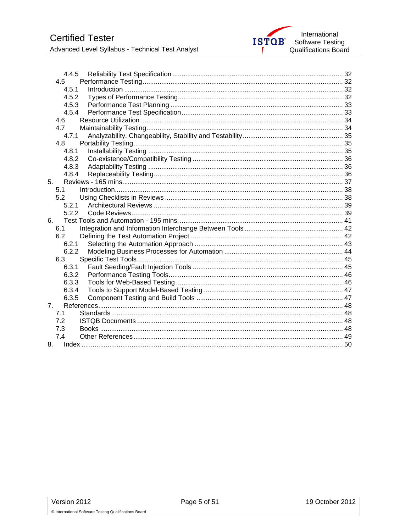

| 4.4.5          |  |
|----------------|--|
| 4.5            |  |
| 4.5.1          |  |
| 4.5.2          |  |
| 4.5.3          |  |
| 4.5.4          |  |
| 4.6            |  |
| 4.7            |  |
| 4.7.1          |  |
| 4.8            |  |
| 4.8.1          |  |
| 4.8.2          |  |
| 4.8.3          |  |
| 4.8.4          |  |
| 5.             |  |
| 5.1            |  |
| 5.2            |  |
| 5.2.1          |  |
| 522            |  |
| 6.             |  |
| 6.1            |  |
| 6.2            |  |
| 6.2.1          |  |
| 6.2.2          |  |
| 6.3            |  |
| 6.3.1          |  |
| 6.3.2          |  |
| 6.3.3          |  |
| 6.3.4          |  |
| 6.3.5          |  |
| 7 <sup>1</sup> |  |
| 7.1            |  |
| 7.2            |  |
| 7.3            |  |
| 7.4            |  |
|                |  |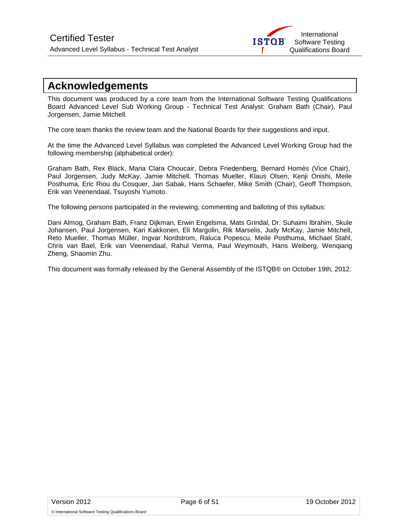

# <span id="page-5-0"></span>**Acknowledgements**

This document was produced by a core team from the International Software Testing Qualifications Board Advanced Level Sub Working Group - Technical Test Analyst: Graham Bath (Chair), Paul Jorgensen, Jamie Mitchell.

The core team thanks the review team and the National Boards for their suggestions and input.

At the time the Advanced Level Syllabus was completed the Advanced Level Working Group had the following membership (alphabetical order):

Graham Bath, Rex Black, Maria Clara Choucair, Debra Friedenberg, Bernard Homès (Vice Chair), Paul Jorgensen, Judy McKay, Jamie Mitchell, Thomas Mueller, Klaus Olsen, Kenji Onishi, Meile Posthuma, Eric Riou du Cosquer, Jan Sabak, Hans Schaefer, Mike Smith (Chair), Geoff Thompson, Erik van Veenendaal, Tsuyoshi Yumoto.

The following persons participated in the reviewing, commenting and balloting of this syllabus:

Dani Almog, Graham Bath, Franz Dijkman, Erwin Engelsma, Mats Grindal, Dr. Suhaimi Ibrahim, Skule Johansen, Paul Jorgensen, Kari Kakkonen, Eli Margolin, Rik Marselis, Judy McKay, Jamie Mitchell, Reto Mueller, Thomas Müller, Ingvar Nordstrom, Raluca Popescu, Meile Posthuma, Michael Stahl, Chris van Bael, Erik van Veenendaal, Rahul Verma, Paul Weymouth, Hans Weiberg, Wenqiang Zheng, Shaomin Zhu.

This document was formally released by the General Assembly of the ISTQB® on October 19th, 2012.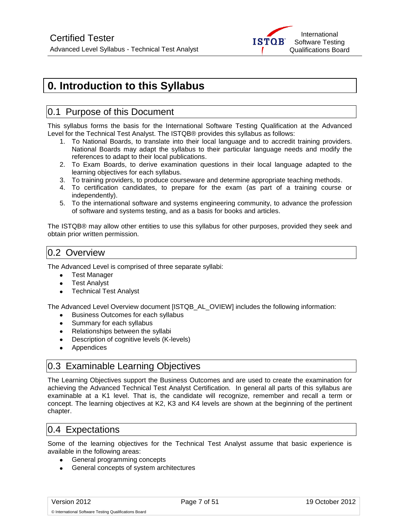

# <span id="page-6-0"></span>**0. Introduction to this Syllabus**

# <span id="page-6-1"></span>0.1 Purpose of this Document

This syllabus forms the basis for the International Software Testing Qualification at the Advanced Level for the Technical Test Analyst. The ISTQB® provides this syllabus as follows:

- 1. To National Boards, to translate into their local language and to accredit training providers. National Boards may adapt the syllabus to their particular language needs and modify the references to adapt to their local publications.
- 2. To Exam Boards, to derive examination questions in their local language adapted to the learning objectives for each syllabus.
- 3. To training providers, to produce courseware and determine appropriate teaching methods.
- 4. To certification candidates, to prepare for the exam (as part of a training course or independently).
- 5. To the international software and systems engineering community, to advance the profession of software and systems testing, and as a basis for books and articles.

The ISTQB® may allow other entities to use this syllabus for other purposes, provided they seek and obtain prior written permission.

### <span id="page-6-2"></span>0.2 Overview

The Advanced Level is comprised of three separate syllabi:

- Test Manager
- Test Analyst
- **•** Technical Test Analyst

The Advanced Level Overview document [ISTQB\_AL\_OVIEW] includes the following information:

- **•** Business Outcomes for each syllabus
- Summary for each syllabus
- Relationships between the syllabi
- Description of cognitive levels (K-levels)
- Appendices

### <span id="page-6-3"></span>0.3 Examinable Learning Objectives

The Learning Objectives support the Business Outcomes and are used to create the examination for achieving the Advanced Technical Test Analyst Certification. In general all parts of this syllabus are examinable at a K1 level. That is, the candidate will recognize, remember and recall a term or concept. The learning objectives at K2, K3 and K4 levels are shown at the beginning of the pertinent chapter.

### <span id="page-6-4"></span>0.4 Expectations

Some of the learning objectives for the Technical Test Analyst assume that basic experience is available in the following areas:

- General programming concepts
- General concepts of system architectures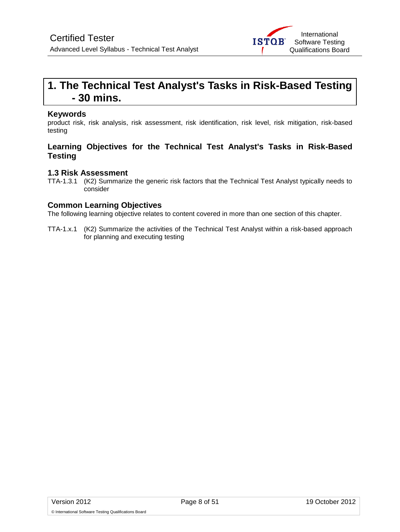

# <span id="page-7-0"></span>**1. The Technical Test Analyst's Tasks in Risk-Based Testing - 30 mins.**

#### **Keywords**

product risk, risk analysis, risk assessment, risk identification, risk level, risk mitigation, risk-based testing

### **Learning Objectives for the Technical Test Analyst's Tasks in Risk-Based Testing**

### **1.3 Risk Assessment**

TTA-1.3.1 (K2) Summarize the generic risk factors that the Technical Test Analyst typically needs to consider

### **Common Learning Objectives**

The following learning objective relates to content covered in more than one section of this chapter.

TTA-1.x.1 (K2) Summarize the activities of the Technical Test Analyst within a risk-based approach for planning and executing testing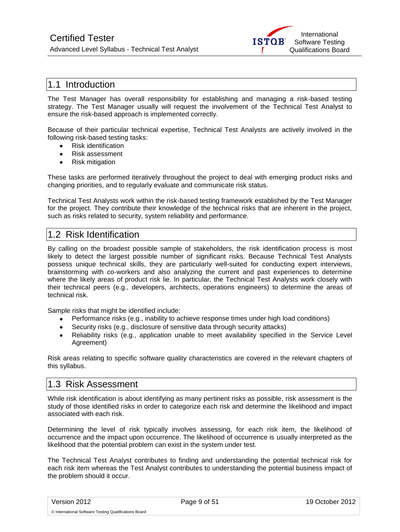

### <span id="page-8-0"></span>1.1 Introduction

The Test Manager has overall responsibility for establishing and managing a risk-based testing strategy. The Test Manager usually will request the involvement of the Technical Test Analyst to ensure the risk-based approach is implemented correctly.

Because of their particular technical expertise, Technical Test Analysts are actively involved in the following risk-based testing tasks:

- Risk identification
- Risk assessment
- Risk mitigation  $\bullet$

These tasks are performed iteratively throughout the project to deal with emerging product risks and changing priorities, and to regularly evaluate and communicate risk status.

Technical Test Analysts work within the risk-based testing framework established by the Test Manager for the project. They contribute their knowledge of the technical risks that are inherent in the project, such as risks related to security, system reliability and performance.

### <span id="page-8-1"></span>1.2 Risk Identification

By calling on the broadest possible sample of stakeholders, the risk identification process is most likely to detect the largest possible number of significant risks. Because Technical Test Analysts possess unique technical skills, they are particularly well-suited for conducting expert interviews, brainstorming with co-workers and also analyzing the current and past experiences to determine where the likely areas of product risk lie. In particular, the Technical Test Analysts work closely with their technical peers (e.g., developers, architects, operations engineers) to determine the areas of technical risk.

Sample risks that might be identified include:

- Performance risks (e.g., inability to achieve response times under high load conditions)
- Security risks (e.g., disclosure of sensitive data through security attacks)
- Reliability risks (e.g., application unable to meet availability specified in the Service Level Agreement)

Risk areas relating to specific software quality characteristics are covered in the relevant chapters of this syllabus.

### <span id="page-8-2"></span>1.3 Risk Assessment

While risk identification is about identifying as many pertinent risks as possible, risk assessment is the study of those identified risks in order to categorize each risk and determine the likelihood and impact associated with each risk.

Determining the level of risk typically involves assessing, for each risk item, the likelihood of occurrence and the impact upon occurrence. The likelihood of occurrence is usually interpreted as the likelihood that the potential problem can exist in the system under test.

The Technical Test Analyst contributes to finding and understanding the potential technical risk for each risk item whereas the Test Analyst contributes to understanding the potential business impact of the problem should it occur.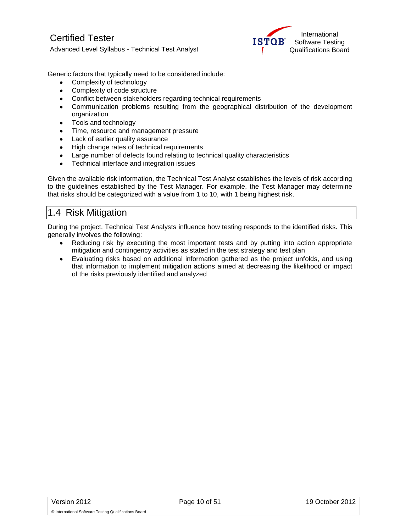

Generic factors that typically need to be considered include:

- Complexity of technology
- Complexity of code structure
- Conflict between stakeholders regarding technical requirements
- Communication problems resulting from the geographical distribution of the development  $\bullet$ organization
- Tools and technology  $\bullet$
- Time, resource and management pressure
- Lack of earlier quality assurance  $\bullet$
- High change rates of technical requirements  $\bullet$
- Large number of defects found relating to technical quality characteristics  $\bullet$
- Technical interface and integration issues  $\bullet$

Given the available risk information, the Technical Test Analyst establishes the levels of risk according to the guidelines established by the Test Manager. For example, the Test Manager may determine that risks should be categorized with a value from 1 to 10, with 1 being highest risk.

### <span id="page-9-0"></span>1.4 Risk Mitigation

During the project, Technical Test Analysts influence how testing responds to the identified risks. This generally involves the following:

- Reducing risk by executing the most important tests and by putting into action appropriate mitigation and contingency activities as stated in the test strategy and test plan
- Evaluating risks based on additional information gathered as the project unfolds, and using that information to implement mitigation actions aimed at decreasing the likelihood or impact of the risks previously identified and analyzed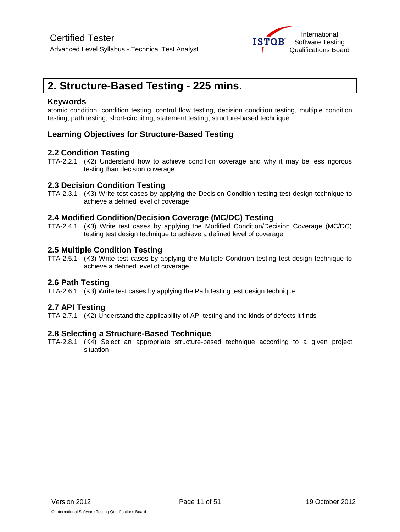

# <span id="page-10-0"></span>**2. Structure-Based Testing - 225 mins.**

#### **Keywords**

atomic condition, condition testing, control flow testing, decision condition testing, multiple condition testing, path testing, short-circuiting, statement testing, structure-based technique

### **Learning Objectives for Structure-Based Testing**

#### **2.2 Condition Testing**

TTA-2.2.1 (K2) Understand how to achieve condition coverage and why it may be less rigorous testing than decision coverage

#### **2.3 Decision Condition Testing**

TTA-2.3.1 (K3) Write test cases by applying the Decision Condition testing test design technique to achieve a defined level of coverage

#### **2.4 Modified Condition/Decision Coverage (MC/DC) Testing**

TTA-2.4.1 (K3) Write test cases by applying the Modified Condition/Decision Coverage (MC/DC) testing test design technique to achieve a defined level of coverage

#### **2.5 Multiple Condition Testing**

TTA-2.5.1 (K3) Write test cases by applying the Multiple Condition testing test design technique to achieve a defined level of coverage

### **2.6 Path Testing**

TTA-2.6.1 (K3) Write test cases by applying the Path testing test design technique

### **2.7 API Testing**

TTA-2.7.1 (K2) Understand the applicability of API testing and the kinds of defects it finds

### **2.8 Selecting a Structure-Based Technique**

TTA-2.8.1 (K4) Select an appropriate structure-based technique according to a given project situation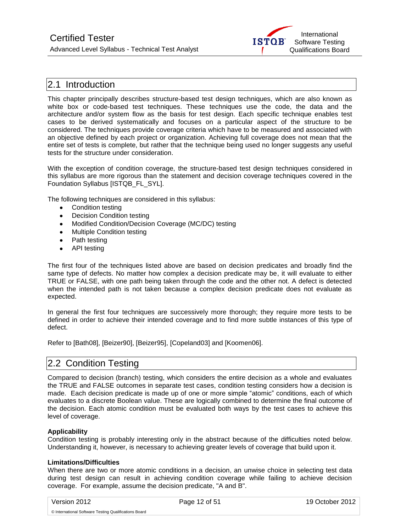

### <span id="page-11-0"></span>2.1 Introduction

This chapter principally describes structure-based test design techniques, which are also known as white box or code-based test techniques. These techniques use the code, the data and the architecture and/or system flow as the basis for test design. Each specific technique enables test cases to be derived systematically and focuses on a particular aspect of the structure to be considered. The techniques provide coverage criteria which have to be measured and associated with an objective defined by each project or organization. Achieving full coverage does not mean that the entire set of tests is complete, but rather that the technique being used no longer suggests any useful tests for the structure under consideration.

With the exception of condition coverage, the structure-based test design techniques considered in this syllabus are more rigorous than the statement and decision coverage techniques covered in the Foundation Syllabus [ISTQB\_FL\_SYL].

The following techniques are considered in this syllabus:

- Condition testing
- Decision Condition testing
- Modified Condition/Decision Coverage (MC/DC) testing
- Multiple Condition testing
- Path testing
- API testing

The first four of the techniques listed above are based on decision predicates and broadly find the same type of defects. No matter how complex a decision predicate may be, it will evaluate to either TRUE or FALSE, with one path being taken through the code and the other not. A defect is detected when the intended path is not taken because a complex decision predicate does not evaluate as expected.

In general the first four techniques are successively more thorough; they require more tests to be defined in order to achieve their intended coverage and to find more subtle instances of this type of defect.

Refer to [Bath08], [Beizer90], [Beizer95], [Copeland03] and [Koomen06].

### <span id="page-11-1"></span>2.2 Condition Testing

Compared to decision (branch) testing, which considers the entire decision as a whole and evaluates the TRUE and FALSE outcomes in separate test cases, condition testing considers how a decision is made. Each decision predicate is made up of one or more simple "atomic" conditions, each of which evaluates to a discrete Boolean value. These are logically combined to determine the final outcome of the decision. Each atomic condition must be evaluated both ways by the test cases to achieve this level of coverage.

#### **Applicability**

Condition testing is probably interesting only in the abstract because of the difficulties noted below. Understanding it, however, is necessary to achieving greater levels of coverage that build upon it.

#### **Limitations/Difficulties**

When there are two or more atomic conditions in a decision, an unwise choice in selecting test data during test design can result in achieving condition coverage while failing to achieve decision coverage. For example, assume the decision predicate, "A and B".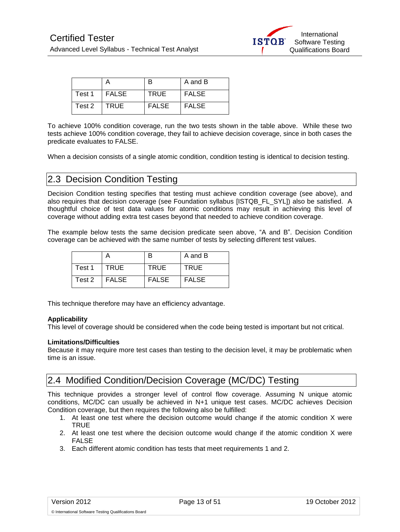

|        |         |              | A and B |
|--------|---------|--------------|---------|
| Test 1 | l FALSE | <b>TRUE</b>  | FALSE   |
| Test 2 | TRUE    | <b>FALSE</b> | FALSE   |

To achieve 100% condition coverage, run the two tests shown in the table above. While these two tests achieve 100% condition coverage, they fail to achieve decision coverage, since in both cases the predicate evaluates to FALSE.

When a decision consists of a single atomic condition, condition testing is identical to decision testing.

### <span id="page-12-0"></span>2.3 Decision Condition Testing

Decision Condition testing specifies that testing must achieve condition coverage (see above), and also requires that decision coverage (see Foundation syllabus [ISTQB\_FL\_SYL]) also be satisfied. A thoughtful choice of test data values for atomic conditions may result in achieving this level of coverage without adding extra test cases beyond that needed to achieve condition coverage.

The example below tests the same decision predicate seen above, "A and B". Decision Condition coverage can be achieved with the same number of tests by selecting different test values.

|        |              | R            | A and B      |
|--------|--------------|--------------|--------------|
| Test 1 | <b>TRUE</b>  | <b>TRUE</b>  | <b>TRUE</b>  |
| Test 2 | <b>FALSE</b> | <b>FALSE</b> | <b>FALSE</b> |

This technique therefore may have an efficiency advantage.

#### **Applicability**

This level of coverage should be considered when the code being tested is important but not critical.

#### **Limitations/Difficulties**

Because it may require more test cases than testing to the decision level, it may be problematic when time is an issue.

## <span id="page-12-1"></span>2.4 Modified Condition/Decision Coverage (MC/DC) Testing

This technique provides a stronger level of control flow coverage. Assuming N unique atomic conditions, MC/DC can usually be achieved in N+1 unique test cases. MC/DC achieves Decision Condition coverage, but then requires the following also be fulfilled:

- 1. At least one test where the decision outcome would change if the atomic condition X were TRUE
- 2. At least one test where the decision outcome would change if the atomic condition X were FALSE
- 3. Each different atomic condition has tests that meet requirements 1 and 2.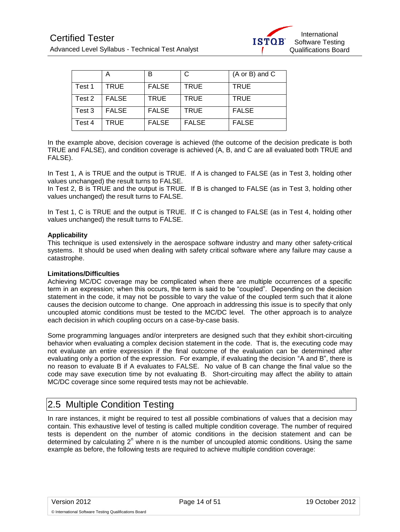

|        | Α            | в            | С            | $(A \text{ or } B)$ and $C$ |
|--------|--------------|--------------|--------------|-----------------------------|
| Test 1 | <b>TRUE</b>  | <b>FALSE</b> | <b>TRUE</b>  | <b>TRUE</b>                 |
| Test 2 | <b>FALSE</b> | <b>TRUE</b>  | <b>TRUE</b>  | <b>TRUE</b>                 |
| Test 3 | <b>FALSE</b> | <b>FALSE</b> | <b>TRUE</b>  | <b>FALSE</b>                |
| Test 4 | TRUE         | <b>FALSE</b> | <b>FALSE</b> | <b>FALSE</b>                |

In the example above, decision coverage is achieved (the outcome of the decision predicate is both TRUE and FALSE), and condition coverage is achieved (A, B, and C are all evaluated both TRUE and FALSE).

In Test 1, A is TRUE and the output is TRUE. If A is changed to FALSE (as in Test 3, holding other values unchanged) the result turns to FALSE.

In Test 2, B is TRUE and the output is TRUE. If B is changed to FALSE (as in Test 3, holding other values unchanged) the result turns to FALSE.

In Test 1, C is TRUE and the output is TRUE. If C is changed to FALSE (as in Test 4, holding other values unchanged) the result turns to FALSE.

#### **Applicability**

This technique is used extensively in the aerospace software industry and many other safety-critical systems. It should be used when dealing with safety critical software where any failure may cause a catastrophe.

#### **Limitations/Difficulties**

Achieving MC/DC coverage may be complicated when there are multiple occurrences of a specific term in an expression; when this occurs, the term is said to be "coupled". Depending on the decision statement in the code, it may not be possible to vary the value of the coupled term such that it alone causes the decision outcome to change. One approach in addressing this issue is to specify that only uncoupled atomic conditions must be tested to the MC/DC level. The other approach is to analyze each decision in which coupling occurs on a case-by-case basis.

Some programming languages and/or interpreters are designed such that they exhibit short-circuiting behavior when evaluating a complex decision statement in the code. That is, the executing code may not evaluate an entire expression if the final outcome of the evaluation can be determined after evaluating only a portion of the expression. For example, if evaluating the decision "A and B", there is no reason to evaluate B if A evaluates to FALSE. No value of B can change the final value so the code may save execution time by not evaluating B. Short-circuiting may affect the ability to attain MC/DC coverage since some required tests may not be achievable.

### <span id="page-13-0"></span>2.5 Multiple Condition Testing

In rare instances, it might be required to test all possible combinations of values that a decision may contain. This exhaustive level of testing is called multiple condition coverage. The number of required tests is dependent on the number of atomic conditions in the decision statement and can be determined by calculating  $2<sup>n</sup>$  where n is the number of uncoupled atomic conditions. Using the same example as before, the following tests are required to achieve multiple condition coverage: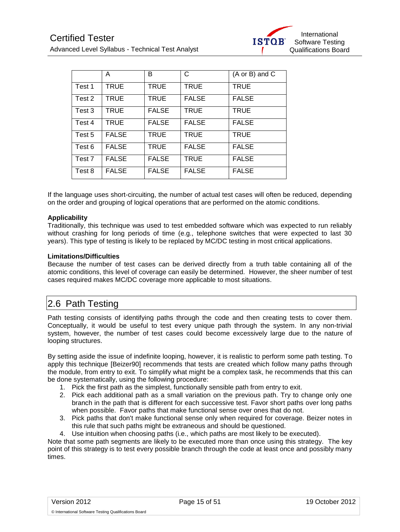|        | A            | B            | C            | (A or B) and C |
|--------|--------------|--------------|--------------|----------------|
| Test 1 | TRUE         | <b>TRUE</b>  | <b>TRUE</b>  | <b>TRUE</b>    |
| Test 2 | TRUE         | <b>TRUE</b>  | <b>FALSE</b> | <b>FALSE</b>   |
| Test 3 | TRUE         | <b>FALSE</b> | <b>TRUE</b>  | <b>TRUE</b>    |
| Test 4 | <b>TRUE</b>  | <b>FALSE</b> | <b>FALSE</b> | <b>FALSE</b>   |
| Test 5 | <b>FALSE</b> | <b>TRUE</b>  | <b>TRUE</b>  | <b>TRUE</b>    |
| Test 6 | <b>FALSE</b> | <b>TRUE</b>  | <b>FALSE</b> | <b>FALSE</b>   |
| Test 7 | <b>FALSE</b> | <b>FALSE</b> | <b>TRUE</b>  | <b>FALSE</b>   |
| Test 8 | <b>FALSE</b> | <b>FALSE</b> | <b>FALSE</b> | <b>FALSE</b>   |

If the language uses short-circuiting, the number of actual test cases will often be reduced, depending on the order and grouping of logical operations that are performed on the atomic conditions.

#### **Applicability**

Traditionally, this technique was used to test embedded software which was expected to run reliably without crashing for long periods of time (e.g., telephone switches that were expected to last 30 years). This type of testing is likely to be replaced by MC/DC testing in most critical applications.

#### **Limitations/Difficulties**

Because the number of test cases can be derived directly from a truth table containing all of the atomic conditions, this level of coverage can easily be determined. However, the sheer number of test cases required makes MC/DC coverage more applicable to most situations.

# <span id="page-14-0"></span>2.6 Path Testing

Path testing consists of identifying paths through the code and then creating tests to cover them. Conceptually, it would be useful to test every unique path through the system. In any non-trivial system, however, the number of test cases could become excessively large due to the nature of looping structures.

By setting aside the issue of indefinite looping, however, it is realistic to perform some path testing. To apply this technique [Beizer90] recommends that tests are created which follow many paths through the module, from entry to exit. To simplify what might be a complex task, he recommends that this can be done systematically, using the following procedure:

- 1. Pick the first path as the simplest, functionally sensible path from entry to exit.
- 2. Pick each additional path as a small variation on the previous path. Try to change only one branch in the path that is different for each successive test. Favor short paths over long paths when possible. Favor paths that make functional sense over ones that do not.
- 3. Pick paths that don't make functional sense only when required for coverage. Beizer notes in this rule that such paths might be extraneous and should be questioned.

4. Use intuition when choosing paths (i.e., which paths are most likely to be executed).

Note that some path segments are likely to be executed more than once using this strategy. The key point of this strategy is to test every possible branch through the code at least once and possibly many times.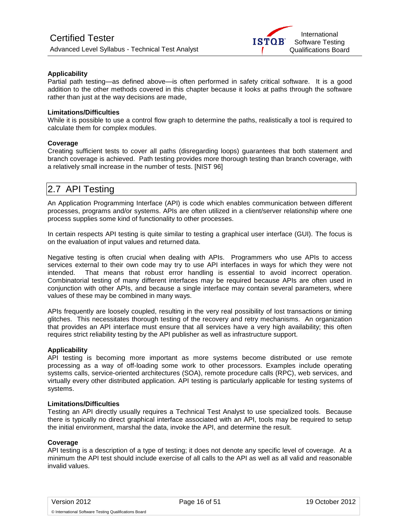#### **Applicability**

Partial path testing—as defined above—is often performed in safety critical software. It is a good addition to the other methods covered in this chapter because it looks at paths through the software rather than just at the way decisions are made,

#### **Limitations/Difficulties**

While it is possible to use a control flow graph to determine the paths, realistically a tool is required to calculate them for complex modules.

#### **Coverage**

Creating sufficient tests to cover all paths (disregarding loops) guarantees that both statement and branch coverage is achieved. Path testing provides more thorough testing than branch coverage, with a relatively small increase in the number of tests. [NIST 96]

## <span id="page-15-0"></span>2.7 API Testing

An Application Programming Interface (API) is code which enables communication between different processes, programs and/or systems. APIs are often utilized in a client/server relationship where one process supplies some kind of functionality to other processes.

In certain respects API testing is quite similar to testing a graphical user interface (GUI). The focus is on the evaluation of input values and returned data.

Negative testing is often crucial when dealing with APIs. Programmers who use APIs to access services external to their own code may try to use API interfaces in ways for which they were not intended. That means that robust error handling is essential to avoid incorrect operation. Combinatorial testing of many different interfaces may be required because APIs are often used in conjunction with other APIs, and because a single interface may contain several parameters, where values of these may be combined in many ways.

APIs frequently are loosely coupled, resulting in the very real possibility of lost transactions or timing glitches. This necessitates thorough testing of the recovery and retry mechanisms. An organization that provides an API interface must ensure that all services have a very high availability; this often requires strict reliability testing by the API publisher as well as infrastructure support.

#### **Applicability**

API testing is becoming more important as more systems become distributed or use remote processing as a way of off-loading some work to other processors. Examples include operating systems calls, service-oriented architectures (SOA), remote procedure calls (RPC), web services, and virtually every other distributed application. API testing is particularly applicable for testing systems of systems.

#### **Limitations/Difficulties**

Testing an API directly usually requires a Technical Test Analyst to use specialized tools. Because there is typically no direct graphical interface associated with an API, tools may be required to setup the initial environment, marshal the data, invoke the API, and determine the result.

#### **Coverage**

API testing is a description of a type of testing; it does not denote any specific level of coverage. At a minimum the API test should include exercise of all calls to the API as well as all valid and reasonable invalid values.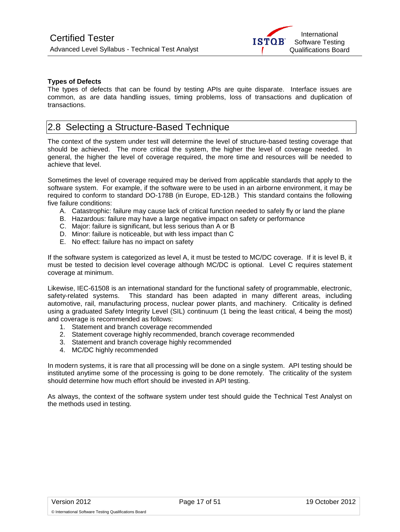

#### **Types of Defects**

The types of defects that can be found by testing APIs are quite disparate. Interface issues are common, as are data handling issues, timing problems, loss of transactions and duplication of transactions.

### <span id="page-16-0"></span>2.8 Selecting a Structure-Based Technique

The context of the system under test will determine the level of structure-based testing coverage that should be achieved. The more critical the system, the higher the level of coverage needed. In general, the higher the level of coverage required, the more time and resources will be needed to achieve that level.

Sometimes the level of coverage required may be derived from applicable standards that apply to the software system. For example, if the software were to be used in an airborne environment, it may be required to conform to standard DO-178B (in Europe, ED-12B.) This standard contains the following five failure conditions:

- A. Catastrophic: failure may cause lack of critical function needed to safely fly or land the plane
- B. Hazardous: failure may have a large negative impact on safety or performance
- C. Major: failure is significant, but less serious than A or B
- D. Minor: failure is noticeable, but with less impact than C
- E. No effect: failure has no impact on safety

If the software system is categorized as level A, it must be tested to MC/DC coverage. If it is level B, it must be tested to decision level coverage although MC/DC is optional. Level C requires statement coverage at minimum.

Likewise, IEC-61508 is an international standard for the functional safety of programmable, electronic, safety-related systems. This standard has been adapted in many different areas, including automotive, rail, manufacturing process, nuclear power plants, and machinery. Criticality is defined using a graduated Safety Integrity Level (SIL) continuum (1 being the least critical, 4 being the most) and coverage is recommended as follows:

- 1. Statement and branch coverage recommended
- 2. Statement coverage highly recommended, branch coverage recommended
- 3. Statement and branch coverage highly recommended
- 4. MC/DC highly recommended

In modern systems, it is rare that all processing will be done on a single system. API testing should be instituted anytime some of the processing is going to be done remotely. The criticality of the system should determine how much effort should be invested in API testing.

As always, the context of the software system under test should guide the Technical Test Analyst on the methods used in testing.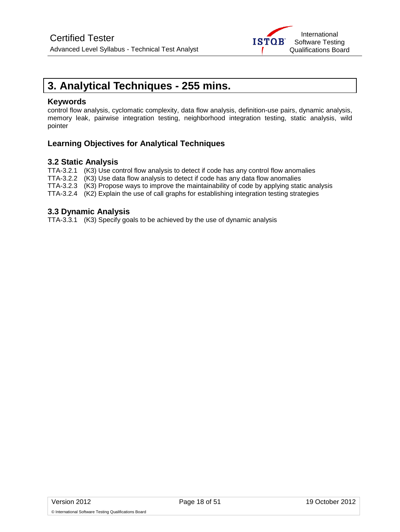

# <span id="page-17-0"></span>**3. Analytical Techniques - 255 mins.**

#### **Keywords**

control flow analysis, cyclomatic complexity, data flow analysis, definition-use pairs, dynamic analysis, memory leak, pairwise integration testing, neighborhood integration testing, static analysis, wild pointer

### **Learning Objectives for Analytical Techniques**

### **3.2 Static Analysis**

TTA-3.2.1 (K3) Use control flow analysis to detect if code has any control flow anomalies

TTA-3.2.2 (K3) Use data flow analysis to detect if code has any data flow anomalies

TTA-3.2.3 (K3) Propose ways to improve the maintainability of code by applying static analysis

TTA-3.2.4 (K2) Explain the use of call graphs for establishing integration testing strategies

#### **3.3 Dynamic Analysis**

TTA-3.3.1 (K3) Specify goals to be achieved by the use of dynamic analysis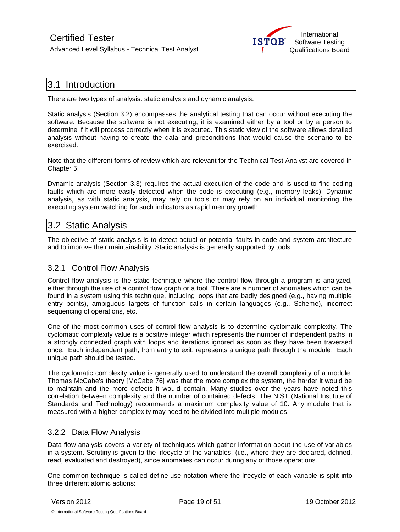

### <span id="page-18-0"></span>3.1 Introduction

There are two types of analysis: static analysis and dynamic analysis.

Static analysis (Section 3.2) encompasses the analytical testing that can occur without executing the software. Because the software is not executing, it is examined either by a tool or by a person to determine if it will process correctly when it is executed. This static view of the software allows detailed analysis without having to create the data and preconditions that would cause the scenario to be exercised.

Note that the different forms of review which are relevant for the Technical Test Analyst are covered in Chapter 5.

Dynamic analysis (Section 3.3) requires the actual execution of the code and is used to find coding faults which are more easily detected when the code is executing (e.g., memory leaks). Dynamic analysis, as with static analysis, may rely on tools or may rely on an individual monitoring the executing system watching for such indicators as rapid memory growth.

### <span id="page-18-1"></span>3.2 Static Analysis

The objective of static analysis is to detect actual or potential faults in code and system architecture and to improve their maintainability. Static analysis is generally supported by tools.

### <span id="page-18-2"></span>3.2.1 Control Flow Analysis

Control flow analysis is the static technique where the control flow through a program is analyzed, either through the use of a control flow graph or a tool. There are a number of anomalies which can be found in a system using this technique, including loops that are badly designed (e.g., having multiple entry points), ambiguous targets of function calls in certain languages (e.g., Scheme), incorrect sequencing of operations, etc.

One of the most common uses of control flow analysis is to determine cyclomatic complexity. The cyclomatic complexity value is a positive integer which represents the number of independent paths in a strongly connected graph with loops and iterations ignored as soon as they have been traversed once. Each independent path, from entry to exit, represents a unique path through the module. Each unique path should be tested.

The cyclomatic complexity value is generally used to understand the overall complexity of a module. Thomas McCabe's theory [McCabe 76] was that the more complex the system, the harder it would be to maintain and the more defects it would contain. Many studies over the years have noted this correlation between complexity and the number of contained defects. The NIST (National Institute of Standards and Technology) recommends a maximum complexity value of 10. Any module that is measured with a higher complexity may need to be divided into multiple modules.

### <span id="page-18-3"></span>3.2.2 Data Flow Analysis

Data flow analysis covers a variety of techniques which gather information about the use of variables in a system. Scrutiny is given to the lifecycle of the variables, (i.e., where they are declared, defined, read, evaluated and destroyed), since anomalies can occur during any of those operations.

One common technique is called define-use notation where the lifecycle of each variable is split into three different atomic actions: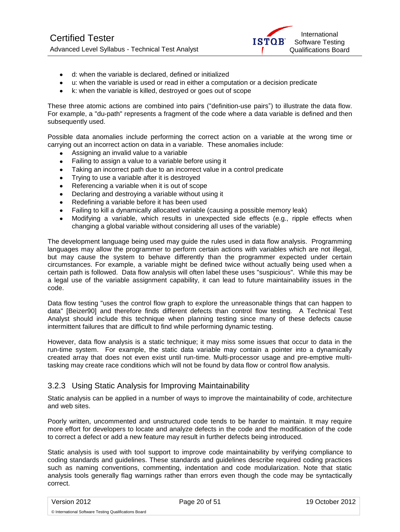

- d: when the variable is declared, defined or initialized
- u: when the variable is used or read in either a computation or a decision predicate
- k: when the variable is killed, destroyed or goes out of scope

These three atomic actions are combined into pairs ("definition-use pairs") to illustrate the data flow. For example, a "du-path" represents a fragment of the code where a data variable is defined and then subsequently used.

Possible data anomalies include performing the correct action on a variable at the wrong time or carrying out an incorrect action on data in a variable. These anomalies include:

- Assigning an invalid value to a variable
- Failing to assign a value to a variable before using it
- Taking an incorrect path due to an incorrect value in a control predicate  $\bullet$
- $\bullet$ Trying to use a variable after it is destroyed
- Referencing a variable when it is out of scope
- Declaring and destroying a variable without using it
- Redefining a variable before it has been used
- Failing to kill a dynamically allocated variable (causing a possible memory leak)  $\bullet$
- Modifying a variable, which results in unexpected side effects (e.g., ripple effects when changing a global variable without considering all uses of the variable)

The development language being used may guide the rules used in data flow analysis. Programming languages may allow the programmer to perform certain actions with variables which are not illegal, but may cause the system to behave differently than the programmer expected under certain circumstances. For example, a variable might be defined twice without actually being used when a certain path is followed. Data flow analysis will often label these uses "suspicious". While this may be a legal use of the variable assignment capability, it can lead to future maintainability issues in the code.

Data flow testing "uses the control flow graph to explore the unreasonable things that can happen to data" [Beizer90] and therefore finds different defects than control flow testing. A Technical Test Analyst should include this technique when planning testing since many of these defects cause intermittent failures that are difficult to find while performing dynamic testing.

However, data flow analysis is a static technique; it may miss some issues that occur to data in the run-time system. For example, the static data variable may contain a pointer into a dynamically created array that does not even exist until run-time. Multi-processor usage and pre-emptive multitasking may create race conditions which will not be found by data flow or control flow analysis.

### <span id="page-19-0"></span>3.2.3 Using Static Analysis for Improving Maintainability

Static analysis can be applied in a number of ways to improve the maintainability of code, architecture and web sites.

Poorly written, uncommented and unstructured code tends to be harder to maintain. It may require more effort for developers to locate and analyze defects in the code and the modification of the code to correct a defect or add a new feature may result in further defects being introduced.

Static analysis is used with tool support to improve code maintainability by verifying compliance to coding standards and guidelines. These standards and guidelines describe required coding practices such as naming conventions, commenting, indentation and code modularization. Note that static analysis tools generally flag warnings rather than errors even though the code may be syntactically correct.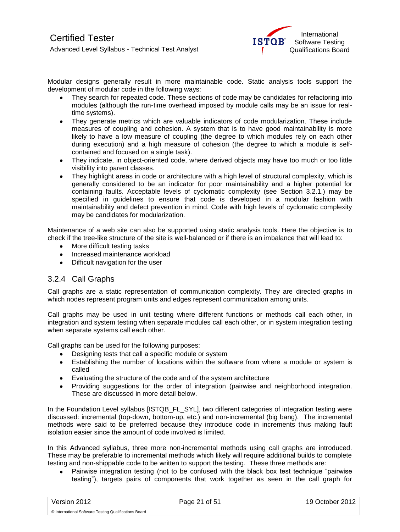

Modular designs generally result in more maintainable code. Static analysis tools support the development of modular code in the following ways:

- They search for repeated code. These sections of code may be candidates for refactoring into modules (although the run-time overhead imposed by module calls may be an issue for realtime systems).
- They generate metrics which are valuable indicators of code modularization. These include measures of coupling and cohesion. A system that is to have good maintainability is more likely to have a low measure of coupling (the degree to which modules rely on each other during execution) and a high measure of cohesion (the degree to which a module is selfcontained and focused on a single task).
- They indicate, in object-oriented code, where derived objects may have too much or too little visibility into parent classes.
- They highlight areas in code or architecture with a high level of structural complexity, which is generally considered to be an indicator for poor maintainability and a higher potential for containing faults. Acceptable levels of cyclomatic complexity (see Section 3.2.1.) may be specified in guidelines to ensure that code is developed in a modular fashion with maintainability and defect prevention in mind. Code with high levels of cyclomatic complexity may be candidates for modularization.

Maintenance of a web site can also be supported using static analysis tools. Here the objective is to check if the tree-like structure of the site is well-balanced or if there is an imbalance that will lead to:

- More difficult testing tasks
- Increased maintenance workload
- Difficult navigation for the user

### <span id="page-20-0"></span>3.2.4 Call Graphs

Call graphs are a static representation of communication complexity. They are directed graphs in which nodes represent program units and edges represent communication among units.

Call graphs may be used in unit testing where different functions or methods call each other, in integration and system testing when separate modules call each other, or in system integration testing when separate systems call each other.

Call graphs can be used for the following purposes:

- Designing tests that call a specific module or system
- Establishing the number of locations within the software from where a module or system is  $\bullet$ called
- Evaluating the structure of the code and of the system architecture
- Providing suggestions for the order of integration (pairwise and neighborhood integration. These are discussed in more detail below.

In the Foundation Level syllabus [ISTQB\_FL\_SYL], two different categories of integration testing were discussed: incremental (top-down, bottom-up, etc.) and non-incremental (big bang). The incremental methods were said to be preferred because they introduce code in increments thus making fault isolation easier since the amount of code involved is limited.

In this Advanced syllabus, three more non-incremental methods using call graphs are introduced. These may be preferable to incremental methods which likely will require additional builds to complete testing and non-shippable code to be written to support the testing. These three methods are:

Pairwise integration testing (not to be confused with the black box test technique "pairwise testing"), targets pairs of components that work together as seen in the call graph for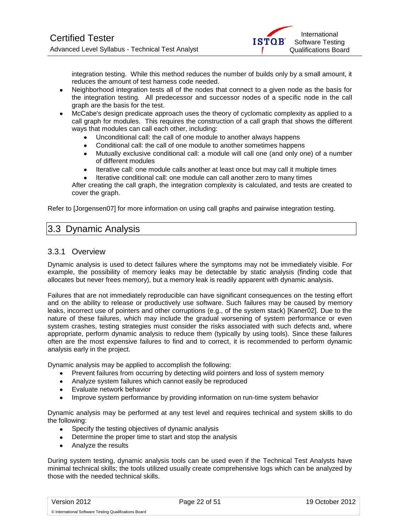

integration testing. While this method reduces the number of builds only by a small amount, it reduces the amount of test harness code needed.

- Neighborhood integration tests all of the nodes that connect to a given node as the basis for the integration testing. All predecessor and successor nodes of a specific node in the call graph are the basis for the test.
- McCabe's design predicate approach uses the theory of cyclomatic complexity as applied to a call graph for modules. This requires the construction of a call graph that shows the different ways that modules can call each other, including:
	- Unconditional call: the call of one module to another always happens
	- Conditional call: the call of one module to another sometimes happens
	- Mutually exclusive conditional call: a module will call one (and only one) of a number  $\bullet$ of different modules
	- Iterative call: one module calls another at least once but may call it multiple times
	- Iterative conditional call: one module can call another zero to many times

After creating the call graph, the integration complexity is calculated, and tests are created to cover the graph.

<span id="page-21-0"></span>Refer to [Jorgensen07] for more information on using call graphs and pairwise integration testing.

### 3.3 Dynamic Analysis

#### <span id="page-21-1"></span>3.3.1 Overview

Dynamic analysis is used to detect failures where the symptoms may not be immediately visible. For example, the possibility of memory leaks may be detectable by static analysis (finding code that allocates but never frees memory), but a memory leak is readily apparent with dynamic analysis.

Failures that are not immediately reproducible can have significant consequences on the testing effort and on the ability to release or productively use software. Such failures may be caused by memory leaks, incorrect use of pointers and other corruptions (e.g., of the system stack) [Kaner02]. Due to the nature of these failures, which may include the gradual worsening of system performance or even system crashes, testing strategies must consider the risks associated with such defects and, where appropriate, perform dynamic analysis to reduce them (typically by using tools). Since these failures often are the most expensive failures to find and to correct, it is recommended to perform dynamic analysis early in the project.

Dynamic analysis may be applied to accomplish the following:

- Prevent failures from occurring by detecting wild pointers and loss of system memory
- Analyze system failures which cannot easily be reproduced  $\bullet$
- Evaluate network behavior
- Improve system performance by providing information on run-time system behavior

Dynamic analysis may be performed at any test level and requires technical and system skills to do the following:

- Specify the testing objectives of dynamic analysis
- Determine the proper time to start and stop the analysis
- Analyze the results

During system testing, dynamic analysis tools can be used even if the Technical Test Analysts have minimal technical skills; the tools utilized usually create comprehensive logs which can be analyzed by those with the needed technical skills.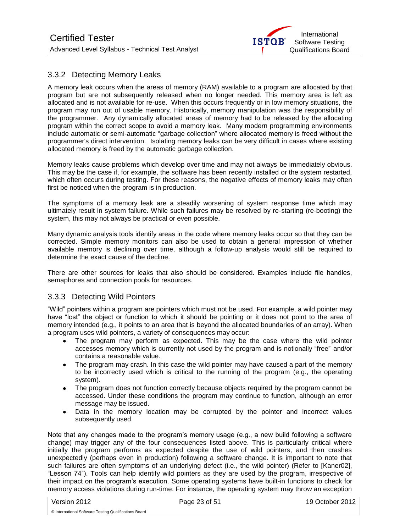

### <span id="page-22-0"></span>3.3.2 Detecting Memory Leaks

A memory leak occurs when the areas of memory (RAM) available to a program are allocated by that program but are not subsequently released when no longer needed. This memory area is left as allocated and is not available for re-use. When this occurs frequently or in low memory situations, the program may run out of usable memory. Historically, memory manipulation was the responsibility of the programmer. Any dynamically allocated areas of memory had to be released by the allocating program within the correct scope to avoid a memory leak. Many modern programming environments include automatic or semi-automatic "garbage collection" where allocated memory is freed without the programmer's direct intervention. Isolating memory leaks can be very difficult in cases where existing allocated memory is freed by the automatic garbage collection.

Memory leaks cause problems which develop over time and may not always be immediately obvious. This may be the case if, for example, the software has been recently installed or the system restarted, which often occurs during testing. For these reasons, the negative effects of memory leaks may often first be noticed when the program is in production.

The symptoms of a memory leak are a steadily worsening of system response time which may ultimately result in system failure. While such failures may be resolved by re-starting (re-booting) the system, this may not always be practical or even possible.

Many dynamic analysis tools identify areas in the code where memory leaks occur so that they can be corrected. Simple memory monitors can also be used to obtain a general impression of whether available memory is declining over time, although a follow-up analysis would still be required to determine the exact cause of the decline.

There are other sources for leaks that also should be considered. Examples include file handles, semaphores and connection pools for resources.

### <span id="page-22-1"></span>3.3.3 Detecting Wild Pointers

"Wild" pointers within a program are pointers which must not be used. For example, a wild pointer may have "lost" the object or function to which it should be pointing or it does not point to the area of memory intended (e.g., it points to an area that is beyond the allocated boundaries of an array). When a program uses wild pointers, a variety of consequences may occur:

- The program may perform as expected. This may be the case where the wild pointer accesses memory which is currently not used by the program and is notionally "free" and/or contains a reasonable value.
- The program may crash. In this case the wild pointer may have caused a part of the memory to be incorrectly used which is critical to the running of the program (e.g., the operating system).
- The program does not function correctly because objects required by the program cannot be accessed. Under these conditions the program may continue to function, although an error message may be issued.
- Data in the memory location may be corrupted by the pointer and incorrect values subsequently used.

Note that any changes made to the program's memory usage (e.g., a new build following a software change) may trigger any of the four consequences listed above. This is particularly critical where initially the program performs as expected despite the use of wild pointers, and then crashes unexpectedly (perhaps even in production) following a software change. It is important to note that such failures are often symptoms of an underlying defect (i.e., the wild pointer) (Refer to [Kaner02], "Lesson 74"). Tools can help identify wild pointers as they are used by the program, irrespective of their impact on the program's execution. Some operating systems have built-in functions to check for memory access violations during run-time. For instance, the operating system may throw an exception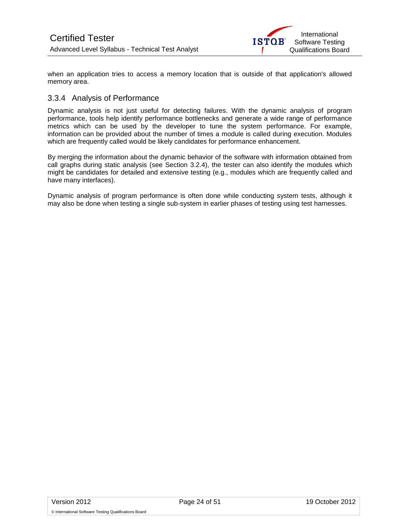

when an application tries to access a memory location that is outside of that application's allowed memory area.

### <span id="page-23-0"></span>3.3.4 Analysis of Performance

Dynamic analysis is not just useful for detecting failures. With the dynamic analysis of program performance, tools help identify performance bottlenecks and generate a wide range of performance metrics which can be used by the developer to tune the system performance. For example, information can be provided about the number of times a module is called during execution. Modules which are frequently called would be likely candidates for performance enhancement.

By merging the information about the dynamic behavior of the software with information obtained from call graphs during static analysis (see Section 3.2.4), the tester can also identify the modules which might be candidates for detailed and extensive testing (e.g., modules which are frequently called and have many interfaces).

Dynamic analysis of program performance is often done while conducting system tests, although it may also be done when testing a single sub-system in earlier phases of testing using test harnesses.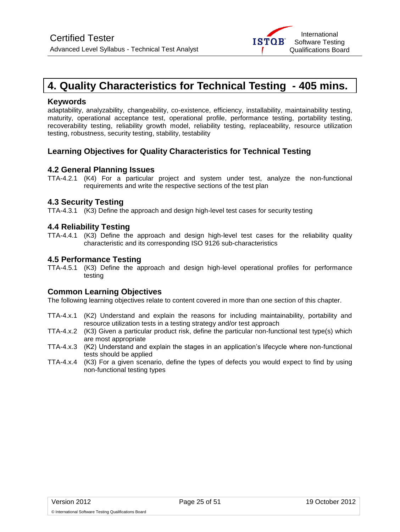

# <span id="page-24-0"></span>**4. Quality Characteristics for Technical Testing - 405 mins.**

#### **Keywords**

adaptability, analyzability, changeability, co-existence, efficiency, installability, maintainability testing, maturity, operational acceptance test, operational profile, performance testing, portability testing, recoverability testing, reliability growth model, reliability testing, replaceability, resource utilization testing, robustness, security testing, stability, testability

### **Learning Objectives for Quality Characteristics for Technical Testing**

#### **4.2 General Planning Issues**

TTA-4.2.1 (K4) For a particular project and system under test, analyze the non-functional requirements and write the respective sections of the test plan

#### **4.3 Security Testing**

TTA-4.3.1 (K3) Define the approach and design high-level test cases for security testing

### **4.4 Reliability Testing**

TTA-4.4.1 (K3) Define the approach and design high-level test cases for the reliability quality characteristic and its corresponding ISO 9126 sub-characteristics

#### **4.5 Performance Testing**

TTA-4.5.1 (K3) Define the approach and design high-level operational profiles for performance testing

#### **Common Learning Objectives**

The following learning objectives relate to content covered in more than one section of this chapter.

- TTA-4.x.1 (K2) Understand and explain the reasons for including maintainability, portability and resource utilization tests in a testing strategy and/or test approach
- TTA-4.x.2 (K3) Given a particular product risk, define the particular non-functional test type(s) which are most appropriate
- TTA-4.x.3 (K2) Understand and explain the stages in an application's lifecycle where non-functional tests should be applied
- TTA-4.x.4 (K3) For a given scenario, define the types of defects you would expect to find by using non-functional testing types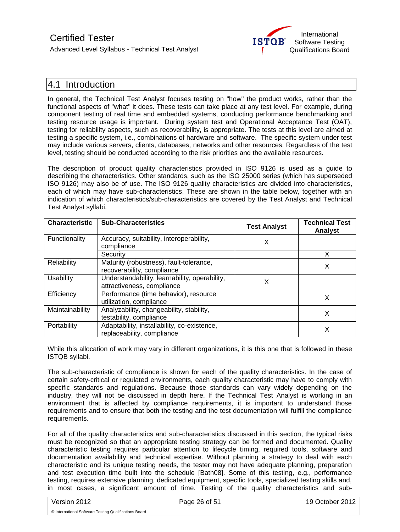

### <span id="page-25-0"></span>4.1 Introduction

In general, the Technical Test Analyst focuses testing on "how" the product works, rather than the functional aspects of "what" it does. These tests can take place at any test level. For example, during component testing of real time and embedded systems, conducting performance benchmarking and testing resource usage is important. During system test and Operational Acceptance Test (OAT), testing for reliability aspects, such as recoverability, is appropriate. The tests at this level are aimed at testing a specific system, i.e., combinations of hardware and software. The specific system under test may include various servers, clients, databases, networks and other resources. Regardless of the test level, testing should be conducted according to the risk priorities and the available resources.

The description of product quality characteristics provided in ISO 9126 is used as a guide to describing the characteristics. Other standards, such as the ISO 25000 series (which has superseded ISO 9126) may also be of use. The ISO 9126 quality characteristics are divided into characteristics, each of which may have sub-characteristics. These are shown in the table below, together with an indication of which characteristics/sub-characteristics are covered by the Test Analyst and Technical Test Analyst syllabi.

| <b>Characteristic</b> | <b>Sub-Characteristics</b>                                                  | <b>Test Analyst</b> | <b>Technical Test</b><br><b>Analyst</b> |
|-----------------------|-----------------------------------------------------------------------------|---------------------|-----------------------------------------|
| Functionality         | Accuracy, suitability, interoperability,<br>compliance                      | х                   |                                         |
|                       | Security                                                                    |                     | X                                       |
| Reliability           | Maturity (robustness), fault-tolerance,<br>recoverability, compliance       |                     | X                                       |
| Usability             | Understandability, learnability, operability,<br>attractiveness, compliance | х                   |                                         |
| Efficiency            | Performance (time behavior), resource<br>utilization, compliance            |                     | х                                       |
| Maintainability       | Analyzability, changeability, stability,<br>testability, compliance         |                     | х                                       |
| Portability           | Adaptability, installability, co-existence,<br>replaceability, compliance   |                     | х                                       |

While this allocation of work may vary in different organizations, it is this one that is followed in these ISTQB syllabi.

The sub-characteristic of compliance is shown for each of the quality characteristics. In the case of certain safety-critical or regulated environments, each quality characteristic may have to comply with specific standards and regulations. Because those standards can vary widely depending on the industry, they will not be discussed in depth here. If the Technical Test Analyst is working in an environment that is affected by compliance requirements, it is important to understand those requirements and to ensure that both the testing and the test documentation will fulfill the compliance requirements.

For all of the quality characteristics and sub-characteristics discussed in this section, the typical risks must be recognized so that an appropriate testing strategy can be formed and documented. Quality characteristic testing requires particular attention to lifecycle timing, required tools, software and documentation availability and technical expertise. Without planning a strategy to deal with each characteristic and its unique testing needs, the tester may not have adequate planning, preparation and test execution time built into the schedule [Bath08]. Some of this testing, e.g., performance testing, requires extensive planning, dedicated equipment, specific tools, specialized testing skills and, in most cases, a significant amount of time. Testing of the quality characteristics and sub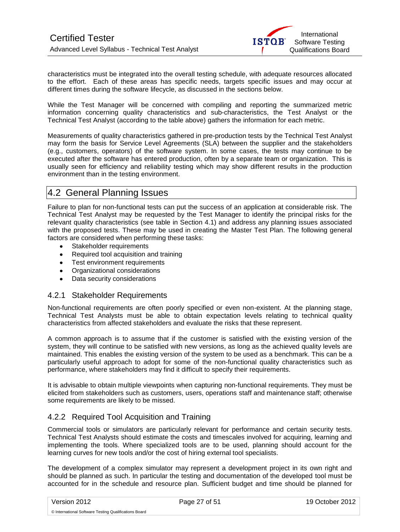characteristics must be integrated into the overall testing schedule, with adequate resources allocated to the effort. Each of these areas has specific needs, targets specific issues and may occur at different times during the software lifecycle, as discussed in the sections below.

While the Test Manager will be concerned with compiling and reporting the summarized metric information concerning quality characteristics and sub-characteristics, the Test Analyst or the Technical Test Analyst (according to the table above) gathers the information for each metric.

Measurements of quality characteristics gathered in pre-production tests by the Technical Test Analyst may form the basis for Service Level Agreements (SLA) between the supplier and the stakeholders (e.g., customers, operators) of the software system. In some cases, the tests may continue to be executed after the software has entered production, often by a separate team or organization. This is usually seen for efficiency and reliability testing which may show different results in the production environment than in the testing environment.

### <span id="page-26-0"></span>4.2 General Planning Issues

Failure to plan for non-functional tests can put the success of an application at considerable risk. The Technical Test Analyst may be requested by the Test Manager to identify the principal risks for the relevant quality characteristics (see table in Section 4.1) and address any planning issues associated with the proposed tests. These may be used in creating the Master Test Plan. The following general factors are considered when performing these tasks:

- Stakeholder requirements  $\bullet$
- Required tool acquisition and training
- Test environment requirements
- Organizational considerations
- Data security considerations

### <span id="page-26-1"></span>4.2.1 Stakeholder Requirements

Non-functional requirements are often poorly specified or even non-existent. At the planning stage, Technical Test Analysts must be able to obtain expectation levels relating to technical quality characteristics from affected stakeholders and evaluate the risks that these represent.

A common approach is to assume that if the customer is satisfied with the existing version of the system, they will continue to be satisfied with new versions, as long as the achieved quality levels are maintained. This enables the existing version of the system to be used as a benchmark. This can be a particularly useful approach to adopt for some of the non-functional quality characteristics such as performance, where stakeholders may find it difficult to specify their requirements.

It is advisable to obtain multiple viewpoints when capturing non-functional requirements. They must be elicited from stakeholders such as customers, users, operations staff and maintenance staff; otherwise some requirements are likely to be missed.

### <span id="page-26-2"></span>4.2.2 Required Tool Acquisition and Training

Commercial tools or simulators are particularly relevant for performance and certain security tests. Technical Test Analysts should estimate the costs and timescales involved for acquiring, learning and implementing the tools. Where specialized tools are to be used, planning should account for the learning curves for new tools and/or the cost of hiring external tool specialists.

The development of a complex simulator may represent a development project in its own right and should be planned as such. In particular the testing and documentation of the developed tool must be accounted for in the schedule and resource plan. Sufficient budget and time should be planned for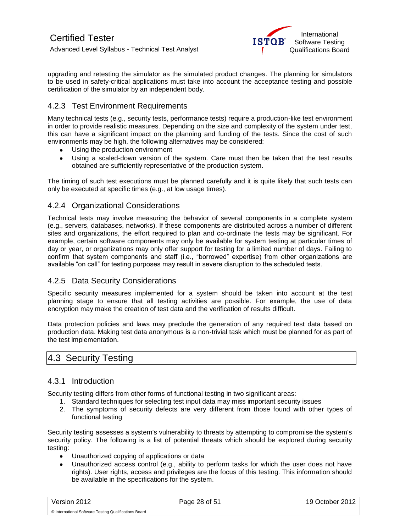

upgrading and retesting the simulator as the simulated product changes. The planning for simulators to be used in safety-critical applications must take into account the acceptance testing and possible certification of the simulator by an independent body.

### <span id="page-27-0"></span>4.2.3 Test Environment Requirements

Many technical tests (e.g., security tests, performance tests) require a production-like test environment in order to provide realistic measures. Depending on the size and complexity of the system under test, this can have a significant impact on the planning and funding of the tests. Since the cost of such environments may be high, the following alternatives may be considered:

- Using the production environment
- Using a scaled-down version of the system. Care must then be taken that the test results obtained are sufficiently representative of the production system.

The timing of such test executions must be planned carefully and it is quite likely that such tests can only be executed at specific times (e.g., at low usage times).

### <span id="page-27-1"></span>4.2.4 Organizational Considerations

Technical tests may involve measuring the behavior of several components in a complete system (e.g., servers, databases, networks). If these components are distributed across a number of different sites and organizations, the effort required to plan and co-ordinate the tests may be significant. For example, certain software components may only be available for system testing at particular times of day or year, or organizations may only offer support for testing for a limited number of days. Failing to confirm that system components and staff (i.e., "borrowed" expertise) from other organizations are available "on call" for testing purposes may result in severe disruption to the scheduled tests.

### <span id="page-27-2"></span>4.2.5 Data Security Considerations

Specific security measures implemented for a system should be taken into account at the test planning stage to ensure that all testing activities are possible. For example, the use of data encryption may make the creation of test data and the verification of results difficult.

Data protection policies and laws may preclude the generation of any required test data based on production data. Making test data anonymous is a non-trivial task which must be planned for as part of the test implementation.

### <span id="page-27-3"></span>4.3 Security Testing

#### <span id="page-27-4"></span>4.3.1 Introduction

Security testing differs from other forms of functional testing in two significant areas:

- 1. Standard techniques for selecting test input data may miss important security issues
- 2. The symptoms of security defects are very different from those found with other types of functional testing

Security testing assesses a system's vulnerability to threats by attempting to compromise the system's security policy. The following is a list of potential threats which should be explored during security testing:

- $\bullet$ Unauthorized copying of applications or data
- Unauthorized access control (e.g., ability to perform tasks for which the user does not have rights). User rights, access and privileges are the focus of this testing. This information should be available in the specifications for the system.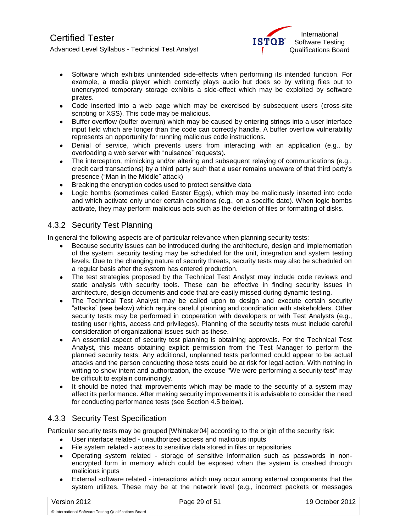

- Software which exhibits unintended side-effects when performing its intended function. For example, a media player which correctly plays audio but does so by writing files out to unencrypted temporary storage exhibits a side-effect which may be exploited by software pirates.
- Code inserted into a web page which may be exercised by subsequent users (cross-site scripting or XSS). This code may be malicious.
- Buffer overflow (buffer overrun) which may be caused by entering strings into a user interface input field which are longer than the code can correctly handle. A buffer overflow vulnerability represents an opportunity for running malicious code instructions.
- Denial of service, which prevents users from interacting with an application (e.g., by overloading a web server with "nuisance" requests).
- The interception, mimicking and/or altering and subsequent relaying of communications (e.g., credit card transactions) by a third party such that a user remains unaware of that third party's presence ("Man in the Middle" attack)
- Breaking the encryption codes used to protect sensitive data
- Logic bombs (sometimes called Easter Eggs), which may be maliciously inserted into code and which activate only under certain conditions (e.g., on a specific date). When logic bombs activate, they may perform malicious acts such as the deletion of files or formatting of disks.

### <span id="page-28-0"></span>4.3.2 Security Test Planning

In general the following aspects are of particular relevance when planning security tests:

- Because security issues can be introduced during the architecture, design and implementation of the system, security testing may be scheduled for the unit, integration and system testing levels. Due to the changing nature of security threats, security tests may also be scheduled on a regular basis after the system has entered production.
- The test strategies proposed by the Technical Test Analyst may include code reviews and static analysis with security tools. These can be effective in finding security issues in architecture, design documents and code that are easily missed during dynamic testing.
- The Technical Test Analyst may be called upon to design and execute certain security "attacks" (see below) which require careful planning and coordination with stakeholders. Other security tests may be performed in cooperation with developers or with Test Analysts (e.g., testing user rights, access and privileges). Planning of the security tests must include careful consideration of organizational issues such as these.
- An essential aspect of security test planning is obtaining approvals. For the Technical Test Analyst, this means obtaining explicit permission from the Test Manager to perform the planned security tests. Any additional, unplanned tests performed could appear to be actual attacks and the person conducting those tests could be at risk for legal action. With nothing in writing to show intent and authorization, the excuse "We were performing a security test" may be difficult to explain convincingly.
- $\bullet$ It should be noted that improvements which may be made to the security of a system may affect its performance. After making security improvements it is advisable to consider the need for conducting performance tests (see Section 4.5 below).

### <span id="page-28-1"></span>4.3.3 Security Test Specification

Particular security tests may be grouped [Whittaker04] according to the origin of the security risk:

- User interface related unauthorized access and malicious inputs
- File system related access to sensitive data stored in files or repositories
- Operating system related storage of sensitive information such as passwords in nonencrypted form in memory which could be exposed when the system is crashed through malicious inputs
- $\bullet$ External software related - interactions which may occur among external components that the system utilizes. These may be at the network level (e.g., incorrect packets or messages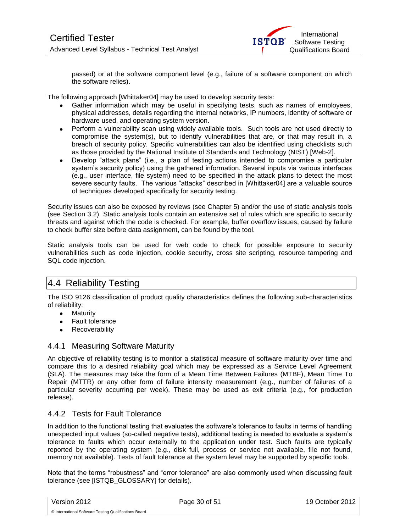

passed) or at the software component level (e.g., failure of a software component on which the software relies).

The following approach [Whittaker04] may be used to develop security tests:

- Gather information which may be useful in specifying tests, such as names of employees, physical addresses, details regarding the internal networks, IP numbers, identity of software or hardware used, and operating system version.
- Perform a vulnerability scan using widely available tools. Such tools are not used directly to compromise the system(s), but to identify vulnerabilities that are, or that may result in, a breach of security policy. Specific vulnerabilities can also be identified using checklists such as those provided by the National Institute of Standards and Technology (NIST) [Web-2].
- Develop "attack plans" (i.e., a plan of testing actions intended to compromise a particular system's security policy) using the gathered information. Several inputs via various interfaces (e.g., user interface, file system) need to be specified in the attack plans to detect the most severe security faults. The various "attacks" described in [Whittaker04] are a valuable source of techniques developed specifically for security testing.

Security issues can also be exposed by reviews (see Chapter 5) and/or the use of static analysis tools (see Section 3.2). Static analysis tools contain an extensive set of rules which are specific to security threats and against which the code is checked. For example, buffer overflow issues, caused by failure to check buffer size before data assignment, can be found by the tool.

Static analysis tools can be used for web code to check for possible exposure to security vulnerabilities such as code injection, cookie security, cross site scripting, resource tampering and SQL code injection.

## <span id="page-29-0"></span>4.4 Reliability Testing

The ISO 9126 classification of product quality characteristics defines the following sub-characteristics of reliability:

- Maturity
- Fault tolerance
- Recoverability

### <span id="page-29-1"></span>4.4.1 Measuring Software Maturity

An objective of reliability testing is to monitor a statistical measure of software maturity over time and compare this to a desired reliability goal which may be expressed as a Service Level Agreement (SLA). The measures may take the form of a Mean Time Between Failures (MTBF), Mean Time To Repair (MTTR) or any other form of failure intensity measurement (e.g., number of failures of a particular severity occurring per week). These may be used as exit criteria (e.g., for production release).

### <span id="page-29-2"></span>4.4.2 Tests for Fault Tolerance

In addition to the functional testing that evaluates the software's tolerance to faults in terms of handling unexpected input values (so-called negative tests), additional testing is needed to evaluate a system's tolerance to faults which occur externally to the application under test. Such faults are typically reported by the operating system (e.g., disk full, process or service not available, file not found, memory not available). Tests of fault tolerance at the system level may be supported by specific tools.

Note that the terms "robustness" and "error tolerance" are also commonly used when discussing fault tolerance (see [ISTQB\_GLOSSARY] for details).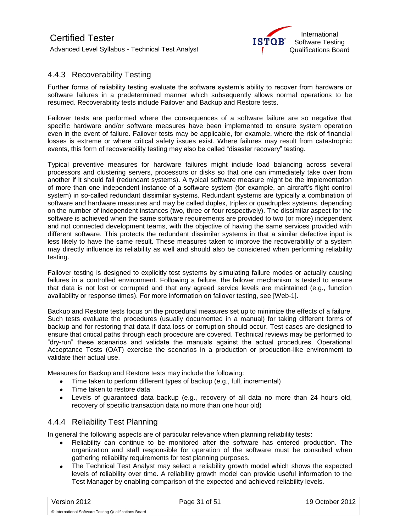

### <span id="page-30-0"></span>4.4.3 Recoverability Testing

Further forms of reliability testing evaluate the software system's ability to recover from hardware or software failures in a predetermined manner which subsequently allows normal operations to be resumed. Recoverability tests include Failover and Backup and Restore tests.

Failover tests are performed where the consequences of a software failure are so negative that specific hardware and/or software measures have been implemented to ensure system operation even in the event of failure. Failover tests may be applicable, for example, where the risk of financial losses is extreme or where critical safety issues exist. Where failures may result from catastrophic events, this form of recoverability testing may also be called "disaster recovery" testing.

Typical preventive measures for hardware failures might include load balancing across several processors and clustering servers, processors or disks so that one can immediately take over from another if it should fail (redundant systems). A typical software measure might be the implementation of more than one independent instance of a software system (for example, an aircraft's flight control system) in so-called redundant dissimilar systems. Redundant systems are typically a combination of software and hardware measures and may be called duplex, triplex or quadruplex systems, depending on the number of independent instances (two, three or four respectively). The dissimilar aspect for the software is achieved when the same software requirements are provided to two (or more) independent and not connected development teams, with the objective of having the same services provided with different software. This protects the redundant dissimilar systems in that a similar defective input is less likely to have the same result. These measures taken to improve the recoverability of a system may directly influence its reliability as well and should also be considered when performing reliability testing.

Failover testing is designed to explicitly test systems by simulating failure modes or actually causing failures in a controlled environment. Following a failure, the failover mechanism is tested to ensure that data is not lost or corrupted and that any agreed service levels are maintained (e.g., function availability or response times). For more information on failover testing, see [Web-1].

Backup and Restore tests focus on the procedural measures set up to minimize the effects of a failure. Such tests evaluate the procedures (usually documented in a manual) for taking different forms of backup and for restoring that data if data loss or corruption should occur. Test cases are designed to ensure that critical paths through each procedure are covered. Technical reviews may be performed to "dry-run" these scenarios and validate the manuals against the actual procedures. Operational Acceptance Tests (OAT) exercise the scenarios in a production or production-like environment to validate their actual use.

Measures for Backup and Restore tests may include the following:

- Time taken to perform different types of backup (e.g., full, incremental)  $\bullet$
- Time taken to restore data
- Levels of guaranteed data backup (e.g., recovery of all data no more than 24 hours old,  $\bullet$ recovery of specific transaction data no more than one hour old)

### <span id="page-30-1"></span>4.4.4 Reliability Test Planning

© International Software Testing Qualifications Board

In general the following aspects are of particular relevance when planning reliability tests:

- Reliability can continue to be monitored after the software has entered production. The organization and staff responsible for operation of the software must be consulted when gathering reliability requirements for test planning purposes.
- The Technical Test Analyst may select a reliability growth model which shows the expected levels of reliability over time. A reliability growth model can provide useful information to the Test Manager by enabling comparison of the expected and achieved reliability levels.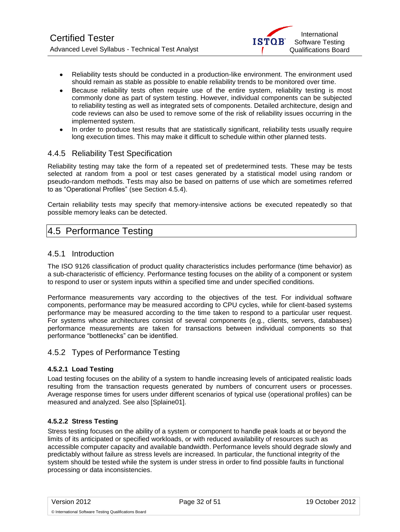

- Reliability tests should be conducted in a production-like environment. The environment used  $\bullet$ should remain as stable as possible to enable reliability trends to be monitored over time.
- Because reliability tests often require use of the entire system, reliability testing is most commonly done as part of system testing. However, individual components can be subjected to reliability testing as well as integrated sets of components. Detailed architecture, design and code reviews can also be used to remove some of the risk of reliability issues occurring in the implemented system.
- In order to produce test results that are statistically significant, reliability tests usually require long execution times. This may make it difficult to schedule within other planned tests.

### <span id="page-31-0"></span>4.4.5 Reliability Test Specification

Reliability testing may take the form of a repeated set of predetermined tests. These may be tests selected at random from a pool or test cases generated by a statistical model using random or pseudo-random methods. Tests may also be based on patterns of use which are sometimes referred to as "Operational Profiles" (see Section 4.5.4).

Certain reliability tests may specify that memory-intensive actions be executed repeatedly so that possible memory leaks can be detected.

### <span id="page-31-1"></span>4.5 Performance Testing

#### <span id="page-31-2"></span>4.5.1 Introduction

The ISO 9126 classification of product quality characteristics includes performance (time behavior) as a sub-characteristic of efficiency. Performance testing focuses on the ability of a component or system to respond to user or system inputs within a specified time and under specified conditions.

Performance measurements vary according to the objectives of the test. For individual software components, performance may be measured according to CPU cycles, while for client-based systems performance may be measured according to the time taken to respond to a particular user request. For systems whose architectures consist of several components (e.g., clients, servers, databases) performance measurements are taken for transactions between individual components so that performance "bottlenecks" can be identified.

#### <span id="page-31-3"></span>4.5.2 Types of Performance Testing

#### **4.5.2.1 Load Testing**

Load testing focuses on the ability of a system to handle increasing levels of anticipated realistic loads resulting from the transaction requests generated by numbers of concurrent users or processes. Average response times for users under different scenarios of typical use (operational profiles) can be measured and analyzed. See also [Splaine01].

#### **4.5.2.2 Stress Testing**

Stress testing focuses on the ability of a system or component to handle peak loads at or beyond the limits of its anticipated or specified workloads, or with reduced availability of resources such as accessible computer capacity and available bandwidth. Performance levels should degrade slowly and predictably without failure as stress levels are increased. In particular, the functional integrity of the system should be tested while the system is under stress in order to find possible faults in functional processing or data inconsistencies.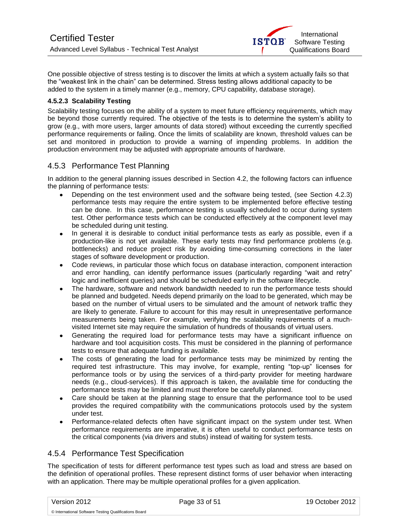One possible objective of stress testing is to discover the limits at which a system actually fails so that the "weakest link in the chain" can be determined. Stress testing allows additional capacity to be added to the system in a timely manner (e.g., memory, CPU capability, database storage).

#### **4.5.2.3 Scalability Testing**

Scalability testing focuses on the ability of a system to meet future efficiency requirements, which may be beyond those currently required. The objective of the tests is to determine the system's ability to grow (e.g., with more users, larger amounts of data stored) without exceeding the currently specified performance requirements or failing. Once the limits of scalability are known, threshold values can be set and monitored in production to provide a warning of impending problems. In addition the production environment may be adjusted with appropriate amounts of hardware.

### <span id="page-32-0"></span>4.5.3 Performance Test Planning

In addition to the general planning issues described in Section 4.2, the following factors can influence the planning of performance tests:

- Depending on the test environment used and the software being tested, (see Section 4.2.3) performance tests may require the entire system to be implemented before effective testing can be done. In this case, performance testing is usually scheduled to occur during system test. Other performance tests which can be conducted effectively at the component level may be scheduled during unit testing.
- In general it is desirable to conduct initial performance tests as early as possible, even if a production-like is not yet available. These early tests may find performance problems (e.g. bottlenecks) and reduce project risk by avoiding time-consuming corrections in the later stages of software development or production.
- Code reviews, in particular those which focus on database interaction, component interaction and error handling, can identify performance issues (particularly regarding "wait and retry" logic and inefficient queries) and should be scheduled early in the software lifecycle.
- The hardware, software and network bandwidth needed to run the performance tests should be planned and budgeted. Needs depend primarily on the load to be generated, which may be based on the number of virtual users to be simulated and the amount of network traffic they are likely to generate. Failure to account for this may result in unrepresentative performance measurements being taken. For example, verifying the scalability requirements of a muchvisited Internet site may require the simulation of hundreds of thousands of virtual users.
- Generating the required load for performance tests may have a significant influence on hardware and tool acquisition costs. This must be considered in the planning of performance tests to ensure that adequate funding is available.
- The costs of generating the load for performance tests may be minimized by renting the required test infrastructure. This may involve, for example, renting "top-up" licenses for performance tools or by using the services of a third-party provider for meeting hardware needs (e.g., cloud-services). If this approach is taken, the available time for conducting the performance tests may be limited and must therefore be carefully planned.
- Care should be taken at the planning stage to ensure that the performance tool to be used provides the required compatibility with the communications protocols used by the system under test.
- Performance-related defects often have significant impact on the system under test. When performance requirements are imperative, it is often useful to conduct performance tests on the critical components (via drivers and stubs) instead of waiting for system tests.

### <span id="page-32-1"></span>4.5.4 Performance Test Specification

The specification of tests for different performance test types such as load and stress are based on the definition of operational profiles. These represent distinct forms of user behavior when interacting with an application. There may be multiple operational profiles for a given application.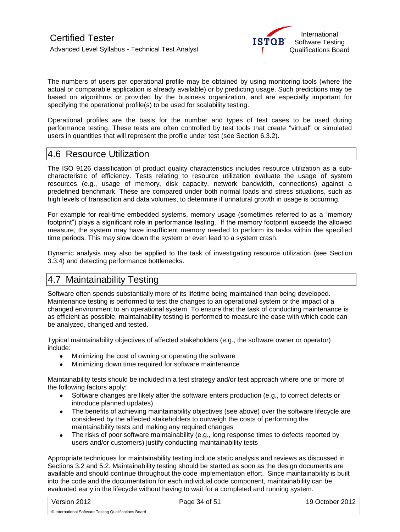

The numbers of users per operational profile may be obtained by using monitoring tools (where the actual or comparable application is already available) or by predicting usage. Such predictions may be based on algorithms or provided by the business organization, and are especially important for specifying the operational profile(s) to be used for scalability testing.

Operational profiles are the basis for the number and types of test cases to be used during performance testing. These tests are often controlled by test tools that create "virtual" or simulated users in quantities that will represent the profile under test (see Section 6.3.2).

### <span id="page-33-0"></span>4.6 Resource Utilization

The ISO 9126 classification of product quality characteristics includes resource utilization as a subcharacteristic of efficiency. Tests relating to resource utilization evaluate the usage of system resources (e.g., usage of memory, disk capacity, network bandwidth, connections) against a predefined benchmark. These are compared under both normal loads and stress situations, such as high levels of transaction and data volumes, to determine if unnatural growth in usage is occurring.

For example for real-time embedded systems, memory usage (sometimes referred to as a "memory footprint") plays a significant role in performance testing. If the memory footprint exceeds the allowed measure, the system may have insufficient memory needed to perform its tasks within the specified time periods. This may slow down the system or even lead to a system crash.

Dynamic analysis may also be applied to the task of investigating resource utilization (see Section 3.3.4) and detecting performance bottlenecks.

## <span id="page-33-1"></span>4.7 Maintainability Testing

Software often spends substantially more of its lifetime being maintained than being developed. Maintenance testing is performed to test the changes to an operational system or the impact of a changed environment to an operational system. To ensure that the task of conducting maintenance is as efficient as possible, maintainability testing is performed to measure the ease with which code can be analyzed, changed and tested.

Typical maintainability objectives of affected stakeholders (e.g., the software owner or operator) include:

- $\bullet$ Minimizing the cost of owning or operating the software
- $\bullet$ Minimizing down time required for software maintenance

Maintainability tests should be included in a test strategy and/or test approach where one or more of the following factors apply:

- Software changes are likely after the software enters production (e.g., to correct defects or introduce planned updates)
- The benefits of achieving maintainability objectives (see above) over the software lifecycle are considered by the affected stakeholders to outweigh the costs of performing the maintainability tests and making any required changes
- $\bullet$ The risks of poor software maintainability (e.g., long response times to defects reported by users and/or customers) justify conducting maintainability tests

Appropriate techniques for maintainability testing include static analysis and reviews as discussed in Sections 3.2 and 5.2. Maintainability testing should be started as soon as the design documents are available and should continue throughout the code implementation effort. Since maintainability is built into the code and the documentation for each individual code component, maintainability can be evaluated early in the lifecycle without having to wait for a completed and running system.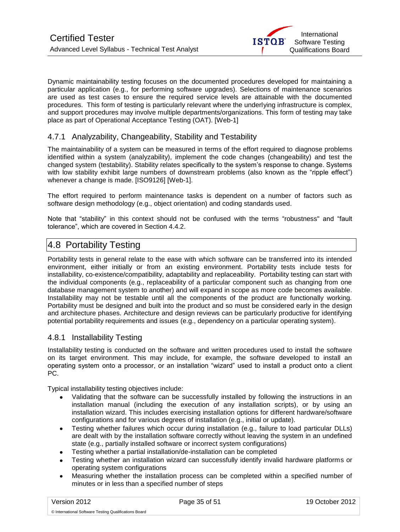Dynamic maintainability testing focuses on the documented procedures developed for maintaining a particular application (e.g., for performing software upgrades). Selections of maintenance scenarios are used as test cases to ensure the required service levels are attainable with the documented procedures. This form of testing is particularly relevant where the underlying infrastructure is complex, and support procedures may involve multiple departments/organizations. This form of testing may take place as part of Operational Acceptance Testing (OAT). [\[Web-1\]](http://www.testingstandards.co.uk/)

### <span id="page-34-0"></span>4.7.1 Analyzability, Changeability, Stability and Testability

The maintainability of a system can be measured in terms of the effort required to diagnose problems identified within a system (analyzability), implement the code changes (changeability) and test the changed system (testability). Stability relates specifically to the system's response to change. Systems with low stability exhibit large numbers of downstream problems (also known as the "ripple effect") whenever a change is made. [ISO9126] [\[Web-1\]](http://www.testingstandards.co.uk/).

The effort required to perform maintenance tasks is dependent on a number of factors such as software design methodology (e.g., object orientation) and coding standards used.

Note that "stability" in this context should not be confused with the terms "robustness" and "fault tolerance", which are covered in Section 4.4.2.

### <span id="page-34-1"></span>4.8 Portability Testing

Portability tests in general relate to the ease with which software can be transferred into its intended environment, either initially or from an existing environment. Portability tests include tests for installability, co-existence/compatibility, adaptability and replaceability. Portability testing can start with the individual components (e.g., replaceability of a particular component such as changing from one database management system to another) and will expand in scope as more code becomes available. Installability may not be testable until all the components of the product are functionally working. Portability must be designed and built into the product and so must be considered early in the design and architecture phases. Architecture and design reviews can be particularly productive for identifying potential portability requirements and issues (e.g., dependency on a particular operating system).

### <span id="page-34-2"></span>4.8.1 Installability Testing

Installability testing is conducted on the software and written procedures used to install the software on its target environment. This may include, for example, the software developed to install an operating system onto a processor, or an installation "wizard" used to install a product onto a client PC.

Typical installability testing objectives include:

- Validating that the software can be successfully installed by following the instructions in an installation manual (including the execution of any installation scripts), or by using an installation wizard. This includes exercising installation options for different hardware/software configurations and for various degrees of installation (e.g., initial or update).
- Testing whether failures which occur during installation (e.g., failure to load particular DLLs)  $\bullet$ are dealt with by the installation software correctly without leaving the system in an undefined state (e.g., partially installed software or incorrect system configurations)
- Testing whether a partial installation/de-installation can be completed
- Testing whether an installation wizard can successfully identify invalid hardware platforms or operating system configurations
- Measuring whether the installation process can be completed within a specified number of minutes or in less than a specified number of steps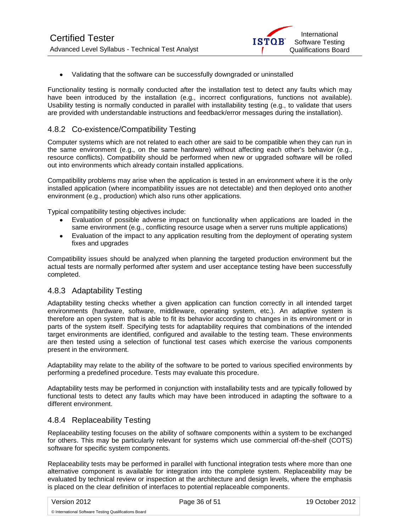

Validating that the software can be successfully downgraded or uninstalled

Functionality testing is normally conducted after the installation test to detect any faults which may have been introduced by the installation (e.g., incorrect configurations, functions not available). Usability testing is normally conducted in parallel with installability testing (e.g., to validate that users are provided with understandable instructions and feedback/error messages during the installation).

### <span id="page-35-0"></span>4.8.2 Co-existence/Compatibility Testing

Computer systems which are not related to each other are said to be compatible when they can run in the same environment (e.g., on the same hardware) without affecting each other's behavior (e.g., resource conflicts). Compatibility should be performed when new or upgraded software will be rolled out into environments which already contain installed applications.

Compatibility problems may arise when the application is tested in an environment where it is the only installed application (where incompatibility issues are not detectable) and then deployed onto another environment (e.g., production) which also runs other applications.

Typical compatibility testing objectives include:

- Evaluation of possible adverse impact on functionality when applications are loaded in the same environment (e.g., conflicting resource usage when a server runs multiple applications)
- Evaluation of the impact to any application resulting from the deployment of operating system  $\bullet$ fixes and upgrades

Compatibility issues should be analyzed when planning the targeted production environment but the actual tests are normally performed after system and user acceptance testing have been successfully completed.

### <span id="page-35-1"></span>4.8.3 Adaptability Testing

Adaptability testing checks whether a given application can function correctly in all intended target environments (hardware, software, middleware, operating system, etc.). An adaptive system is therefore an open system that is able to fit its behavior according to changes in its environment or in parts of the system itself. Specifying tests for adaptability requires that combinations of the intended target environments are identified, configured and available to the testing team. These environments are then tested using a selection of functional test cases which exercise the various components present in the environment.

Adaptability may relate to the ability of the software to be ported to various specified environments by performing a predefined procedure. Tests may evaluate this procedure.

Adaptability tests may be performed in conjunction with installability tests and are typically followed by functional tests to detect any faults which may have been introduced in adapting the software to a different environment.

#### <span id="page-35-2"></span>4.8.4 Replaceability Testing

Replaceability testing focuses on the ability of software components within a system to be exchanged for others. This may be particularly relevant for systems which use commercial off-the-shelf (COTS) software for specific system components.

Replaceability tests may be performed in parallel with functional integration tests where more than one alternative component is available for integration into the complete system. Replaceability may be evaluated by technical review or inspection at the architecture and design levels, where the emphasis is placed on the clear definition of interfaces to potential replaceable components.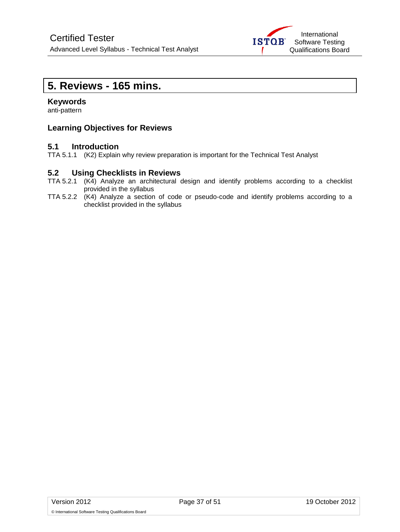

# <span id="page-36-0"></span>**5. Reviews - 165 mins.**

#### **Keywords**

anti-pattern

### **Learning Objectives for Reviews**

### **5.1 Introduction**

TTA 5.1.1 (K2) Explain why review preparation is important for the Technical Test Analyst

#### **5.2 Using Checklists in Reviews**

- TTA 5.2.1 (K4) Analyze an architectural design and identify problems according to a checklist provided in the syllabus
- TTA 5.2.2 (K4) Analyze a section of code or pseudo-code and identify problems according to a checklist provided in the syllabus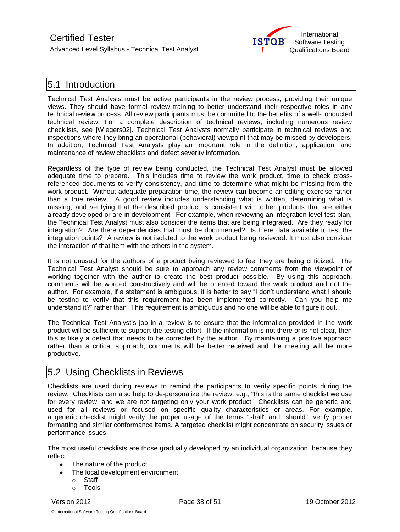

### <span id="page-37-0"></span>5.1 Introduction

Technical Test Analysts must be active participants in the review process, providing their unique views. They should have formal review training to better understand their respective roles in any technical review process. All review participants must be committed to the benefits of a well-conducted technical review. For a complete description of technical reviews, including numerous review checklists, see [Wiegers02]. Technical Test Analysts normally participate in technical reviews and inspections where they bring an operational (behavioral) viewpoint that may be missed by developers. In addition, Technical Test Analysts play an important role in the definition, application, and maintenance of review checklists and defect severity information.

Regardless of the type of review being conducted, the Technical Test Analyst must be allowed adequate time to prepare. This includes time to review the work product, time to check crossreferenced documents to verify consistency, and time to determine what might be missing from the work product. Without adequate preparation time, the review can become an editing exercise rather than a true review. A good review includes understanding what is written, determining what is missing, and verifying that the described product is consistent with other products that are either already developed or are in development. For example, when reviewing an integration level test plan, the Technical Test Analyst must also consider the items that are being integrated. Are they ready for integration? Are there dependencies that must be documented? Is there data available to test the integration points? A review is not isolated to the work product being reviewed. It must also consider the interaction of that item with the others in the system.

It is not unusual for the authors of a product being reviewed to feel they are being criticized. The Technical Test Analyst should be sure to approach any review comments from the viewpoint of working together with the author to create the best product possible. By using this approach, comments will be worded constructively and will be oriented toward the work product and not the author. For example, if a statement is ambiguous, it is better to say "I don't understand what I should be testing to verify that this requirement has been implemented correctly. Can you help me understand it?" rather than "This requirement is ambiguous and no one will be able to figure it out."

The Technical Test Analyst's job in a review is to ensure that the information provided in the work product will be sufficient to support the testing effort. If the information is not there or is not clear, then this is likely a defect that needs to be corrected by the author. By maintaining a positive approach rather than a critical approach, comments will be better received and the meeting will be more productive.

### <span id="page-37-1"></span>5.2 Using Checklists in Reviews

Checklists are used during reviews to remind the participants to verify specific points during the review. Checklists can also help to de-personalize the review, e.g., "this is the same checklist we use for every review, and we are not targeting only your work product." Checklists can be generic and used for all reviews or focused on specific quality characteristics or areas. For example, a generic checklist might verify the proper usage of the terms "shall" and "should", verify proper formatting and similar conformance items. A targeted checklist might concentrate on security issues or performance issues.

The most useful checklists are those gradually developed by an individual organization, because they reflect:

- The nature of the product
- The local development environment  $\bullet$ 
	- o Staff
	- o Tools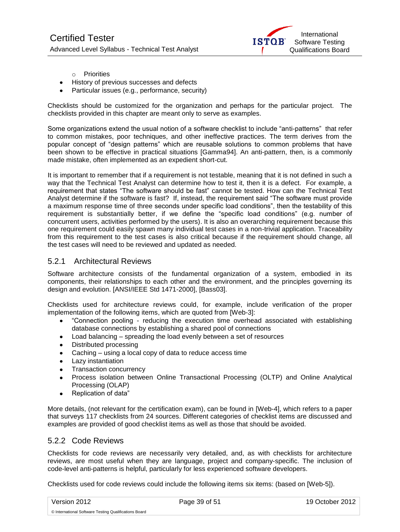

- o Priorities
- History of previous successes and defects
- Particular issues (e.g., performance, security)

Checklists should be customized for the organization and perhaps for the particular project. The checklists provided in this chapter are meant only to serve as examples.

Some organizations extend the usual notion of a software checklist to include "anti-patterns" that refer to common mistakes, poor techniques, and other ineffective practices. The term derives from the popular concept of "design patterns" which are reusable solutions to common problems that have been shown to be effective in practical situations [Gamma94]. An anti-pattern, then, is a commonly made mistake, often implemented as an expedient short-cut.

It is important to remember that if a requirement is not testable, meaning that it is not defined in such a way that the Technical Test Analyst can determine how to test it, then it is a defect. For example, a requirement that states "The software should be fast" cannot be tested. How can the Technical Test Analyst determine if the software is fast? If, instead, the requirement said "The software must provide a maximum response time of three seconds under specific load conditions", then the testability of this requirement is substantially better, if we define the "specific load conditions" (e.g. number of concurrent users, activities performed by the users). It is also an overarching requirement because this one requirement could easily spawn many individual test cases in a non-trivial application. Traceability from this requirement to the test cases is also critical because if the requirement should change, all the test cases will need to be reviewed and updated as needed.

### <span id="page-38-0"></span>5.2.1 Architectural Reviews

Software architecture consists of the fundamental organization of a system, embodied in its components, their relationships to each other and the environment, and the principles governing its design and evolution. [ANSI/IEEE Std 1471-2000], [Bass03].

Checklists used for architecture reviews could, for example, include verification of the proper implementation of the following items, which are quoted from [Web-3]:

- "Connection pooling reducing the execution time overhead associated with establishing database connections by establishing a shared pool of connections
- Load balancing spreading the load evenly between a set of resources
- Distributed processing
- Caching using a local copy of data to reduce access time
- Lazy instantiation
- Transaction concurrency
- Process isolation between Online Transactional Processing (OLTP) and Online Analytical Processing (OLAP)
- Replication of data"

More details, (not relevant for the certification exam), can be found in [Web-4], which refers to a paper that surveys 117 checklists from 24 sources. Different categories of checklist items are discussed and examples are provided of good checklist items as well as those that should be avoided.

#### <span id="page-38-1"></span>5.2.2 Code Reviews

Checklists for code reviews are necessarily very detailed, and, as with checklists for architecture reviews, are most useful when they are language, project and company-specific. The inclusion of code-level anti-patterns is helpful, particularly for less experienced software developers.

Checklists used for code reviews could include the following items six items: (based on [Web-5]).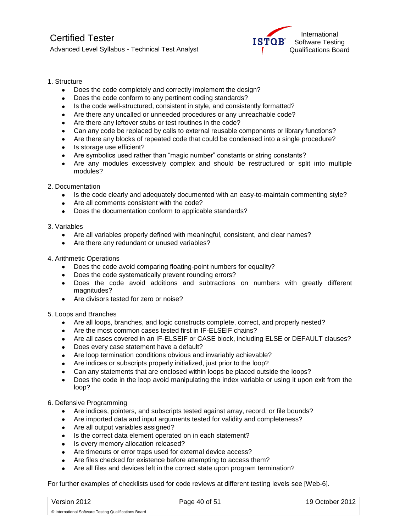

#### 1. Structure

- Does the code completely and correctly implement the design?
- Does the code conform to any pertinent coding standards?
- Is the code well-structured, consistent in style, and consistently formatted?
- Are there any uncalled or unneeded procedures or any unreachable code?  $\bullet$
- Are there any leftover stubs or test routines in the code?
- Can any code be replaced by calls to external reusable components or library functions?
- Are there any blocks of repeated code that could be condensed into a single procedure?
- Is storage use efficient?
- Are symbolics used rather than "magic number" constants or string constants?  $\bullet$
- Are any modules excessively complex and should be restructured or split into multiple modules?
- 2. Documentation
	- Is the code clearly and adequately documented with an easy-to-maintain commenting style?  $\bullet$
	- Are all comments consistent with the code?  $\bullet$
	- Does the documentation conform to applicable standards?
- 3. Variables
	- Are all variables properly defined with meaningful, consistent, and clear names?
	- Are there any redundant or unused variables?
- 4. Arithmetic Operations
	- Does the code avoid comparing floating-point numbers for equality?  $\bullet$
	- Does the code systematically prevent rounding errors?
	- $\bullet$ Does the code avoid additions and subtractions on numbers with greatly different magnitudes?
	- Are divisors tested for zero or noise?
- 5. Loops and Branches
	- Are all loops, branches, and logic constructs complete, correct, and properly nested?
	- Are the most common cases tested first in IF-ELSEIF chains?  $\bullet$
	- Are all cases covered in an IF-ELSEIF or CASE block, including ELSE or DEFAULT clauses?
	- Does every case statement have a default?
	- Are loop termination conditions obvious and invariably achievable?  $\bullet$
	- Are indices or subscripts properly initialized, just prior to the loop?
	- Can any statements that are enclosed within loops be placed outside the loops?
	- Does the code in the loop avoid manipulating the index variable or using it upon exit from the loop?
- 6. Defensive Programming
	- Are indices, pointers, and subscripts tested against array, record, or file bounds?  $\bullet$
	- Are imported data and input arguments tested for validity and completeness?  $\bullet$
	- Are all output variables assigned?
	- Is the correct data element operated on in each statement?  $\bullet$
	- $\bullet$ Is every memory allocation released?
	- Are timeouts or error traps used for external device access?
	- Are files checked for existence before attempting to access them?  $\bullet$
	- Are all files and devices left in the correct state upon program termination?

For further examples of checklists used for code reviews at different testing levels see [Web-6].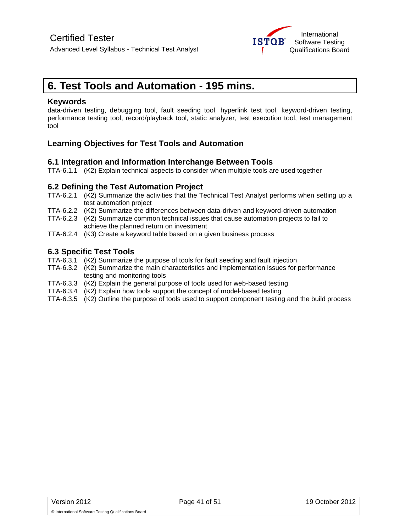

# <span id="page-40-0"></span>**6. Test Tools and Automation - 195 mins.**

#### **Keywords**

data-driven testing, debugging tool, fault seeding tool, hyperlink test tool, keyword-driven testing, performance testing tool, record/playback tool, static analyzer, test execution tool, test management tool

### **Learning Objectives for Test Tools and Automation**

### **6.1 Integration and Information Interchange Between Tools**

TTA-6.1.1 (K2) Explain technical aspects to consider when multiple tools are used together

### **6.2 Defining the Test Automation Project**

- TTA-6.2.1 (K2) Summarize the activities that the Technical Test Analyst performs when setting up a test automation project
- TTA-6.2.2 (K2) Summarize the differences between data-driven and keyword-driven automation
- TTA-6.2.3 (K2) Summarize common technical issues that cause automation projects to fail to achieve the planned return on investment
- TTA-6.2.4 (K3) Create a keyword table based on a given business process

### **6.3 Specific Test Tools**

- TTA-6.3.1 (K2) Summarize the purpose of tools for fault seeding and fault injection
- TTA-6.3.2 (K2) Summarize the main characteristics and implementation issues for performance testing and monitoring tools
- TTA-6.3.3 (K2) Explain the general purpose of tools used for web-based testing
- TTA-6.3.4 (K2) Explain how tools support the concept of model-based testing
- TTA-6.3.5 (K2) Outline the purpose of tools used to support component testing and the build process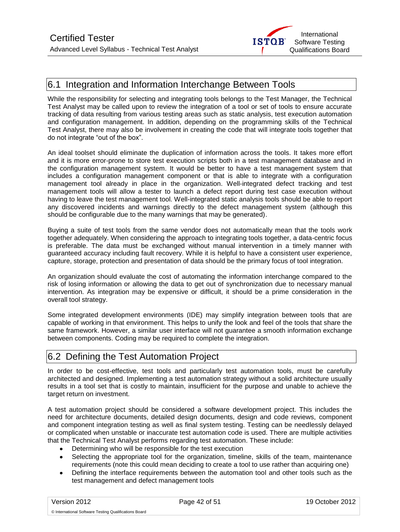

### <span id="page-41-0"></span>6.1 Integration and Information Interchange Between Tools

While the responsibility for selecting and integrating tools belongs to the Test Manager, the Technical Test Analyst may be called upon to review the integration of a tool or set of tools to ensure accurate tracking of data resulting from various testing areas such as static analysis, test execution automation and configuration management. In addition, depending on the programming skills of the Technical Test Analyst, there may also be involvement in creating the code that will integrate tools together that do not integrate "out of the box".

An ideal toolset should eliminate the duplication of information across the tools. It takes more effort and it is more error-prone to store test execution scripts both in a test management database and in the configuration management system. It would be better to have a test management system that includes a configuration management component or that is able to integrate with a configuration management tool already in place in the organization. Well-integrated defect tracking and test management tools will allow a tester to launch a defect report during test case execution without having to leave the test management tool. Well-integrated static analysis tools should be able to report any discovered incidents and warnings directly to the defect management system (although this should be configurable due to the many warnings that may be generated).

Buying a suite of test tools from the same vendor does not automatically mean that the tools work together adequately. When considering the approach to integrating tools together, a data-centric focus is preferable. The data must be exchanged without manual intervention in a timely manner with guaranteed accuracy including fault recovery. While it is helpful to have a consistent user experience, capture, storage, protection and presentation of data should be the primary focus of tool integration.

An organization should evaluate the cost of automating the information interchange compared to the risk of losing information or allowing the data to get out of synchronization due to necessary manual intervention. As integration may be expensive or difficult, it should be a prime consideration in the overall tool strategy.

Some integrated development environments (IDE) may simplify integration between tools that are capable of working in that environment. This helps to unify the look and feel of the tools that share the same framework. However, a similar user interface will not guarantee a smooth information exchange between components. Coding may be required to complete the integration.

### <span id="page-41-1"></span>6.2 Defining the Test Automation Project

In order to be cost-effective, test tools and particularly test automation tools, must be carefully architected and designed. Implementing a test automation strategy without a solid architecture usually results in a tool set that is costly to maintain, insufficient for the purpose and unable to achieve the target return on investment.

A test automation project should be considered a software development project. This includes the need for architecture documents, detailed design documents, design and code reviews, component and component integration testing as well as final system testing. Testing can be needlessly delayed or complicated when unstable or inaccurate test automation code is used. There are multiple activities that the Technical Test Analyst performs regarding test automation. These include:

- Determining who will be responsible for the test execution
- Selecting the appropriate tool for the organization, timeline, skills of the team, maintenance requirements (note this could mean deciding to create a tool to use rather than acquiring one)
- Defining the interface requirements between the automation tool and other tools such as the  $\bullet$ test management and defect management tools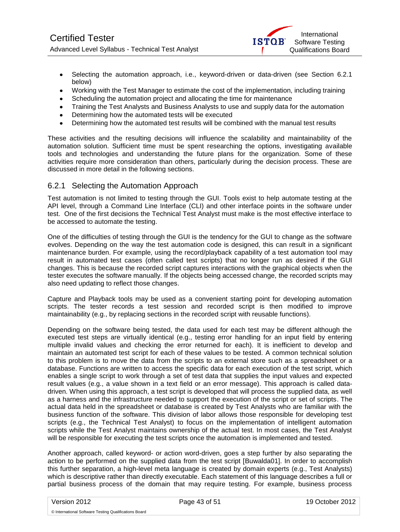

- Selecting the automation approach, i.e., keyword-driven or data-driven (see Section 6.2.1) below)
- Working with the Test Manager to estimate the cost of the implementation, including training  $\bullet$
- Scheduling the automation project and allocating the time for maintenance
- Training the Test Analysts and Business Analysts to use and supply data for the automation
- Determining how the automated tests will be executed
- Determining how the automated test results will be combined with the manual test results  $\bullet$

These activities and the resulting decisions will influence the scalability and maintainability of the automation solution. Sufficient time must be spent researching the options, investigating available tools and technologies and understanding the future plans for the organization. Some of these activities require more consideration than others, particularly during the decision process. These are discussed in more detail in the following sections.

### <span id="page-42-0"></span>6.2.1 Selecting the Automation Approach

Test automation is not limited to testing through the GUI. Tools exist to help automate testing at the API level, through a Command Line Interface (CLI) and other interface points in the software under test. One of the first decisions the Technical Test Analyst must make is the most effective interface to be accessed to automate the testing.

One of the difficulties of testing through the GUI is the tendency for the GUI to change as the software evolves. Depending on the way the test automation code is designed, this can result in a significant maintenance burden. For example, using the record/playback capability of a test automation tool may result in automated test cases (often called test scripts) that no longer run as desired if the GUI changes. This is because the recorded script captures interactions with the graphical objects when the tester executes the software manually. If the objects being accessed change, the recorded scripts may also need updating to reflect those changes.

Capture and Playback tools may be used as a convenient starting point for developing automation scripts. The tester records a test session and recorded script is then modified to improve maintainability (e.g., by replacing sections in the recorded script with reusable functions).

Depending on the software being tested, the data used for each test may be different although the executed test steps are virtually identical (e.g., testing error handling for an input field by entering multiple invalid values and checking the error returned for each). It is inefficient to develop and maintain an automated test script for each of these values to be tested. A common technical solution to this problem is to move the data from the scripts to an external store such as a spreadsheet or a database. Functions are written to access the specific data for each execution of the test script, which enables a single script to work through a set of test data that supplies the input values and expected result values (e.g., a value shown in a text field or an error message). This approach is called datadriven. When using this approach, a test script is developed that will process the supplied data, as well as a harness and the infrastructure needed to support the execution of the script or set of scripts. The actual data held in the spreadsheet or database is created by Test Analysts who are familiar with the business function of the software. This division of labor allows those responsible for developing test scripts (e.g., the Technical Test Analyst) to focus on the implementation of intelligent automation scripts while the Test Analyst maintains ownership of the actual test. In most cases, the Test Analyst will be responsible for executing the test scripts once the automation is implemented and tested.

Another approach, called keyword- or action word-driven, goes a step further by also separating the action to be performed on the supplied data from the test script [Buwalda01]. In order to accomplish this further separation, a high-level meta language is created by domain experts (e.g., Test Analysts) which is descriptive rather than directly executable. Each statement of this language describes a full or partial business process of the domain that may require testing. For example, business process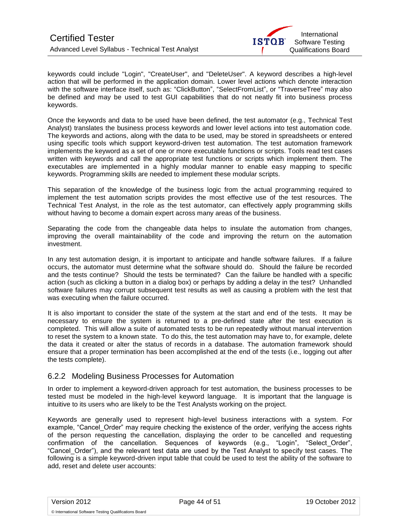

keywords could include "Login", "CreateUser", and "DeleteUser". A keyword describes a high-level action that will be performed in the application domain. Lower level actions which denote interaction with the software interface itself, such as: "ClickButton", "SelectFromList", or "TraverseTree" may also be defined and may be used to test GUI capabilities that do not neatly fit into business process keywords.

Once the keywords and data to be used have been defined, the test automator (e.g., Technical Test Analyst) translates the business process keywords and lower level actions into test automation code. The keywords and actions, along with the data to be used, may be stored in spreadsheets or entered using specific tools which support keyword-driven test automation. The test automation framework implements the keyword as a set of one or more executable functions or scripts. Tools read test cases written with keywords and call the appropriate test functions or scripts which implement them. The executables are implemented in a highly modular manner to enable easy mapping to specific keywords. Programming skills are needed to implement these modular scripts.

This separation of the knowledge of the business logic from the actual programming required to implement the test automation scripts provides the most effective use of the test resources. The Technical Test Analyst, in the role as the test automator, can effectively apply programming skills without having to become a domain expert across many areas of the business.

Separating the code from the changeable data helps to insulate the automation from changes, improving the overall maintainability of the code and improving the return on the automation investment.

In any test automation design, it is important to anticipate and handle software failures. If a failure occurs, the automator must determine what the software should do. Should the failure be recorded and the tests continue? Should the tests be terminated? Can the failure be handled with a specific action (such as clicking a button in a dialog box) or perhaps by adding a delay in the test? Unhandled software failures may corrupt subsequent test results as well as causing a problem with the test that was executing when the failure occurred.

It is also important to consider the state of the system at the start and end of the tests. It may be necessary to ensure the system is returned to a pre-defined state after the test execution is completed. This will allow a suite of automated tests to be run repeatedly without manual intervention to reset the system to a known state. To do this, the test automation may have to, for example, delete the data it created or alter the status of records in a database. The automation framework should ensure that a proper termination has been accomplished at the end of the tests (i.e., logging out after the tests complete).

### <span id="page-43-0"></span>6.2.2 Modeling Business Processes for Automation

In order to implement a keyword-driven approach for test automation, the business processes to be tested must be modeled in the high-level keyword language. It is important that the language is intuitive to its users who are likely to be the Test Analysts working on the project.

Keywords are generally used to represent high-level business interactions with a system. For example, "Cancel Order" may require checking the existence of the order, verifying the access rights of the person requesting the cancellation, displaying the order to be cancelled and requesting confirmation of the cancellation. Sequences of keywords (e.g., "Login", "Select\_Order", "Cancel\_Order"), and the relevant test data are used by the Test Analyst to specify test cases. The following is a simple keyword-driven input table that could be used to test the ability of the software to add, reset and delete user accounts: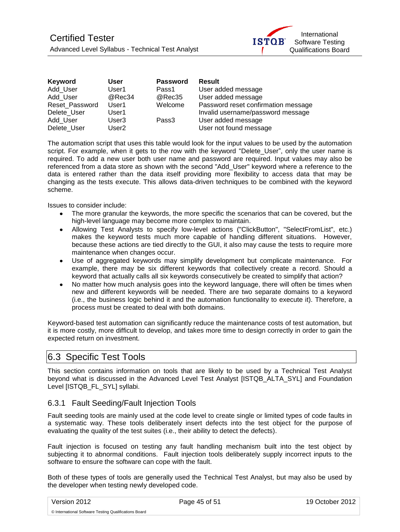

| Keyword        | User              | <b>Password</b> | <b>Result</b>                       |
|----------------|-------------------|-----------------|-------------------------------------|
| Add User       | User1             | Pass1           | User added message                  |
| Add User       | @Rec34            | @Rec35          | User added message                  |
| Reset Password | User1             | Welcome         | Password reset confirmation message |
| Delete User    | User1             |                 | Invalid username/password message   |
| Add User       | User <sub>3</sub> | Pass3           | User added message                  |
| Delete User    | User <sub>2</sub> |                 | User not found message              |

The automation script that uses this table would look for the input values to be used by the automation script. For example, when it gets to the row with the keyword "Delete User", only the user name is required. To add a new user both user name and password are required. Input values may also be referenced from a data store as shown with the second "Add\_User" keyword where a reference to the data is entered rather than the data itself providing more flexibility to access data that may be changing as the tests execute. This allows data-driven techniques to be combined with the keyword scheme.

Issues to consider include:

- The more granular the keywords, the more specific the scenarios that can be covered, but the high-level language may become more complex to maintain.
- $\bullet$ Allowing Test Analysts to specify low-level actions ("ClickButton", "SelectFromList", etc.) makes the keyword tests much more capable of handling different situations. However, because these actions are tied directly to the GUI, it also may cause the tests to require more maintenance when changes occur.
- Use of aggregated keywords may simplify development but complicate maintenance. For example, there may be six different keywords that collectively create a record. Should a keyword that actually calls all six keywords consecutively be created to simplify that action?
- No matter how much analysis goes into the keyword language, there will often be times when new and different keywords will be needed. There are two separate domains to a keyword (i.e., the business logic behind it and the automation functionality to execute it). Therefore, a process must be created to deal with both domains.

Keyword-based test automation can significantly reduce the maintenance costs of test automation, but it is more costly, more difficult to develop, and takes more time to design correctly in order to gain the expected return on investment.

### <span id="page-44-0"></span>6.3 Specific Test Tools

This section contains information on tools that are likely to be used by a Technical Test Analyst beyond what is discussed in the Advanced Level Test Analyst [ISTQB\_ALTA\_SYL] and Foundation Level [ISTQB\_FL\_SYL] syllabi.

### <span id="page-44-1"></span>6.3.1 Fault Seeding/Fault Injection Tools

Fault seeding tools are mainly used at the code level to create single or limited types of code faults in a systematic way. These tools deliberately insert defects into the test object for the purpose of evaluating the quality of the test suites (i.e., their ability to detect the defects).

Fault injection is focused on testing any fault handling mechanism built into the test object by subjecting it to abnormal conditions. Fault injection tools deliberately supply incorrect inputs to the software to ensure the software can cope with the fault.

Both of these types of tools are generally used the Technical Test Analyst, but may also be used by the developer when testing newly developed code.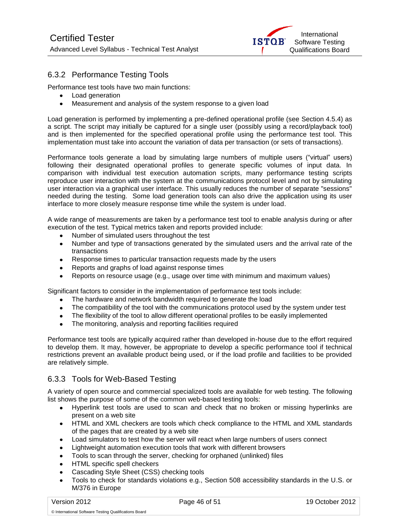

### <span id="page-45-0"></span>6.3.2 Performance Testing Tools

Performance test tools have two main functions:

- Load generation
- Measurement and analysis of the system response to a given load

Load generation is performed by implementing a pre-defined operational profile (see Section 4.5.4) as a script. The script may initially be captured for a single user (possibly using a record/playback tool) and is then implemented for the specified operational profile using the performance test tool. This implementation must take into account the variation of data per transaction (or sets of transactions).

Performance tools generate a load by simulating large numbers of multiple users ("virtual" users) following their designated operational profiles to generate specific volumes of input data. In comparison with individual test execution automation scripts, many performance testing scripts reproduce user interaction with the system at the communications protocol level and not by simulating user interaction via a graphical user interface. This usually reduces the number of separate "sessions" needed during the testing. Some load generation tools can also drive the application using its user interface to more closely measure response time while the system is under load.

A wide range of measurements are taken by a performance test tool to enable analysis during or after execution of the test. Typical metrics taken and reports provided include:

- Number of simulated users throughout the test
- Number and type of transactions generated by the simulated users and the arrival rate of the transactions
- Response times to particular transaction requests made by the users
- Reports and graphs of load against response times
- Reports on resource usage (e.g., usage over time with minimum and maximum values)

Significant factors to consider in the implementation of performance test tools include:

- The hardware and network bandwidth required to generate the load
- The compatibility of the tool with the communications protocol used by the system under test
- The flexibility of the tool to allow different operational profiles to be easily implemented
- The monitoring, analysis and reporting facilities required

Performance test tools are typically acquired rather than developed in-house due to the effort required to develop them. It may, however, be appropriate to develop a specific performance tool if technical restrictions prevent an available product being used, or if the load profile and facilities to be provided are relatively simple.

### <span id="page-45-1"></span>6.3.3 Tools for Web-Based Testing

A variety of open source and commercial specialized tools are available for web testing. The following list shows the purpose of some of the common web-based testing tools:

- Hyperlink test tools are used to scan and check that no broken or missing hyperlinks are  $\bullet$ present on a web site
- HTML and XML checkers are tools which check compliance to the HTML and XML standards of the pages that are created by a web site
- Load simulators to test how the server will react when large numbers of users connect
- Lightweight automation execution tools that work with different browsers
- Tools to scan through the server, checking for orphaned (unlinked) files  $\bullet$
- HTML specific spell checkers
- $\bullet$ Cascading Style Sheet (CSS) checking tools
- Tools to check for standards violations e.g., Section 508 accessibility standards in the U.S. or M/376 in Europe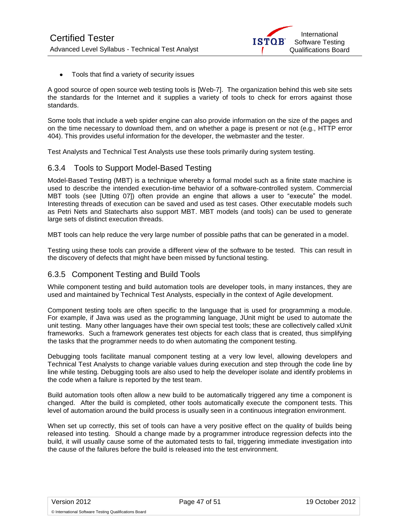

• Tools that find a variety of security issues

A good source of open source web testing tools is [Web-7]. The organization behind this web site sets the standards for the Internet and it supplies a variety of tools to check for errors against those standards.

Some tools that include a web spider engine can also provide information on the size of the pages and on the time necessary to download them, and on whether a page is present or not (e.g., HTTP error 404). This provides useful information for the developer, the webmaster and the tester.

Test Analysts and Technical Test Analysts use these tools primarily during system testing.

### <span id="page-46-0"></span>6.3.4 Tools to Support Model-Based Testing

Model-Based Testing (MBT) is a technique whereby a formal model such as a finite state machine is used to describe the intended execution-time behavior of a software-controlled system. Commercial MBT tools (see [Utting 07]) often provide an engine that allows a user to "execute" the model. Interesting threads of execution can be saved and used as test cases. Other executable models such as Petri Nets and Statecharts also support MBT. MBT models (and tools) can be used to generate large sets of distinct execution threads.

MBT tools can help reduce the very large number of possible paths that can be generated in a model.

Testing using these tools can provide a different view of the software to be tested. This can result in the discovery of defects that might have been missed by functional testing.

#### <span id="page-46-1"></span>6.3.5 Component Testing and Build Tools

While component testing and build automation tools are developer tools, in many instances, they are used and maintained by Technical Test Analysts, especially in the context of Agile development.

Component testing tools are often specific to the language that is used for programming a module. For example, if Java was used as the programming language, JUnit might be used to automate the unit testing. Many other languages have their own special test tools; these are collectively called xUnit frameworks. Such a framework generates test objects for each class that is created, thus simplifying the tasks that the programmer needs to do when automating the component testing.

Debugging tools facilitate manual component testing at a very low level, allowing developers and Technical Test Analysts to change variable values during execution and step through the code line by line while testing. Debugging tools are also used to help the developer isolate and identify problems in the code when a failure is reported by the test team.

Build automation tools often allow a new build to be automatically triggered any time a component is changed. After the build is completed, other tools automatically execute the component tests. This level of automation around the build process is usually seen in a continuous integration environment.

When set up correctly, this set of tools can have a very positive effect on the quality of builds being released into testing. Should a change made by a programmer introduce regression defects into the build, it will usually cause some of the automated tests to fail, triggering immediate investigation into the cause of the failures before the build is released into the test environment.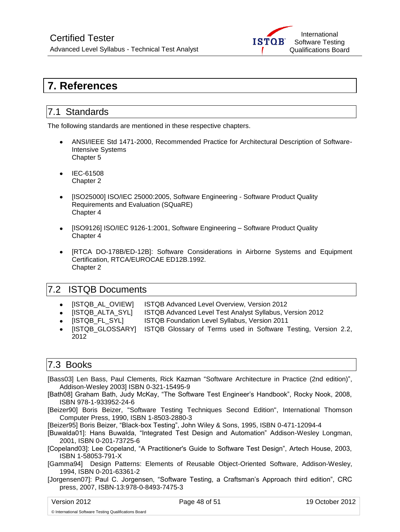

# <span id="page-47-0"></span>**7. References**

### <span id="page-47-1"></span>7.1 Standards

The following standards are mentioned in these respective chapters.

- ANSI/IEEE Std 1471-2000, Recommended Practice for Architectural Description of Software-Intensive Systems Chapter 5
- IEC-61508 Chapter 2
- [ISO25000] ISO/IEC 25000:200[5,](http://www.iso.org/iso/rss.xml?csnumber=35683&rss=detail) Software Engineering Software Product Quality Requirements and Evaluation (SQuaRE) Chapter 4
- [ISO9126] ISO/IEC 9126-1:2001, Software Engineering Software Product Quality Chapter 4
- [RTCA DO-178B/ED-12B]: Software Considerations in Airborne Systems and Equipment Certification, RTCA/EUROCAE ED12B.1992. Chapter 2

### <span id="page-47-2"></span>7.2 ISTQB Documents

- [ISTQB\_AL\_OVIEW] ISTQB Advanced Level Overview, Version 2012
- [ISTQB\_ALTA\_SYL] ISTQB Advanced Level Test Analyst Syllabus, Version 2012
- [ISTQB\_FL\_SYL] ISTQB Foundation Level Syllabus, Version 2011
- [ISTQB GLOSSARY] ISTQB Glossary of Terms used in Software Testing, Version 2.2,  $\bullet$ 2012

### <span id="page-47-3"></span>7.3 Books

- [Bass03] Len Bass, Paul Clements, Rick Kazman ["Software Architecture in Practice \(2nd edition\)"](http://www.sei.cmu.edu/library/abstracts/books/0321154959.cfm), Addison-Wesley 2003] ISBN 0-321-15495-9
- [Bath08] Graham Bath, Judy McKay, "The Software Test Engineer's Handbook", Rocky Nook, 2008, ISBN 978-1-933952-24-6
- [Beizer90] Boris Beizer, "Software Testing Techniques Second Edition", International Thomson Computer Press, 1990, ISBN 1-8503-2880-3

[Beizer95] Boris Beizer, "Black-box Testing", John Wiley & Sons, 1995, ISBN 0-471-12094-4

- [Buwalda01]: Hans Buwalda, "Integrated Test Design and Automation" Addison-Wesley Longman, 2001, ISBN 0-201-73725-6
- [Copeland03]: Lee Copeland, "A Practitioner's Guide to Software Test Design", Artech House, 2003, ISBN 1-58053-791-X
- [Gamma94] Design Patterns: Elements of Reusable Object-Oriented Software, Addison-Wesley, 1994, ISBN 0-201-63361-2

[Jorgensen07]: Paul C. Jorgensen, "Software Testing, a Craftsman's Approach third edition", CRC press, 2007, ISBN-13:978-0-8493-7475-3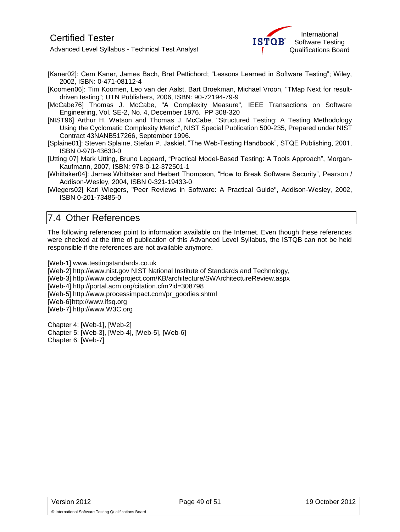

[Kaner02]: Cem Kaner, James Bach, Bret Pettichord; "Lessons Learned in Software Testing"; Wiley, 2002, ISBN: 0-471-08112-4

[Koomen06]: Tim Koomen, Leo van der Aalst, Bart Broekman, Michael Vroon, "TMap Next for resultdriven testing"; UTN Publishers, 2006, ISBN: 90-72194-79-9

[McCabe76] Thomas J. McCabe, "A Complexity Measure", IEEE Transactions on Software Engineering, Vol. SE-2, No. 4, December 1976. PP 308-320

[NIST96] Arthur H. Watson and Thomas J. McCabe, "Structured Testing: A Testing Methodology Using the Cyclomatic Complexity Metric", NIST Special Publication 500-235, Prepared under NIST Contract 43NANB517266, September 1996.

[Splaine01]: Steven Splaine, Stefan P. Jaskiel, "The Web-Testing Handbook", STQE Publishing, 2001, ISBN 0-970-43630-0

[Utting 07] Mark Utting, Bruno Legeard, ["Practical Model-Based Testing: A Tools Approach"](http://www.amazon.com/gp/redirect.html?link_code=ur2&tag=markuttinsweb-20&camp=1789&creative=9325&location=%2FPractical-Model-Based-Testing-Tools-Approach%2Fdp%2F0123725011%2Fsr%3D1-1%2Fqid%3D1157585827%2Fref%3Dsr_1_1%3Fie%3DUTF8%26s%3Dbooks), Morgan-Kaufmann, 2007, ISBN: 978-0-12-372501-1

[Whittaker04]: James Whittaker and Herbert Thompson, "How to Break Software Security", Pearson / Addison-Wesley, 2004, ISBN 0-321-19433-0

[Wiegers02] Karl Wiegers, "Peer Reviews in Software: A Practical Guide", Addison-Wesley, 2002, ISBN 0-201-73485-0

### <span id="page-48-0"></span>7.4 Other References

The following references point to information available on the Internet. Even though these references were checked at the time of publication of this Advanced Level Syllabus, the ISTQB can not be held responsible if the references are not available anymore.

[Web-1] www.testingstandards.co.uk

[Web-2] http://www.nist.gov NIST National Institute of Standards and Technology,

[Web-3]<http://www.codeproject.com/KB/architecture/SWArchitectureReview.aspx>

[Web-4] http://portal.acm.org/citation.cfm?id=308798

[Web-5] http://www.processimpact.com/pr\_goodies.shtml

[Web-6]http://www.ifsq.org

[Web-7] http://www.W3C.org

Chapter 4: [Web-1], [Web-2] Chapter 5: [Web-3], [Web-4], [Web-5], [Web-6] Chapter 6: [Web-7]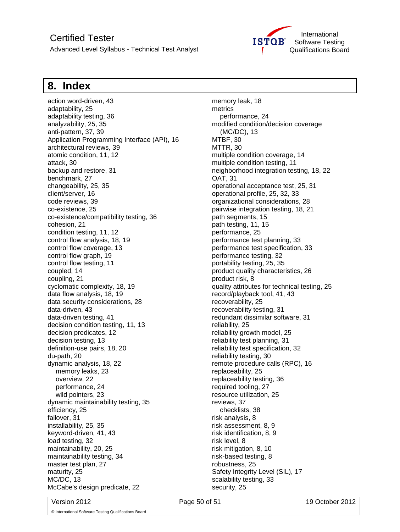

# <span id="page-49-0"></span>**8. Index**

action word-driven, 43 adaptability, 25 adaptability testing, 36 analyzability, 25, 35 anti-pattern, 37, 39 Application Programming Interface (API), 16 architectural reviews, 39 atomic condition, 11, 12 attack, 30 backup and restore, 31 benchmark, 27 changeability, 25, 35 client/server, 16 code reviews, 39 co-existence, 25 co-existence/compatibility testing, 36 cohesion, 21 condition testing, 11, 12 control flow analysis, 18, 19 control flow coverage, 13 control flow graph, 19 control flow testing, 11 coupled, 14 coupling, 21 cyclomatic complexity, 18, 19 data flow analysis, 18, 19 data security considerations, 28 data-driven, 43 data-driven testing, 41 decision condition testing, 11, 13 decision predicates, 12 decision testing, 13 definition-use pairs, 18, 20 du-path, 20 dynamic analysis, 18, 22 memory leaks, 23 overview, 22 performance, 24 wild pointers, 23 dynamic maintainability testing, 35 efficiency, 25 failover, 31 installability, 25, 35 keyword-driven, 41, 43 load testing, 32 maintainability, 20, 25 maintainability testing, 34 master test plan, 27 maturity, 25 MC/DC, 13 McCabe's design predicate, 22

memory leak, 18 metrics performance, 24 modified condition/decision coverage (MC/DC), 13 MTBF, 30 MTTR, 30 multiple condition coverage, 14 multiple condition testing, 11 neighborhood integration testing, 18, 22 OAT, 31 operational acceptance test, 25, 31 operational profile, 25, 32, 33 organizational considerations, 28 pairwise integration testing, 18, 21 path segments, 15 path testing, 11, 15 performance, 25 performance test planning, 33 performance test specification, 33 performance testing, 32 portability testing, 25, 35 product quality characteristics, 26 product risk, 8 quality attributes for technical testing, 25 record/playback tool, 41, 43 recoverability, 25 recoverability testing, 31 redundant dissimilar software, 31 reliability, 25 reliability growth model, 25 reliability test planning, 31 reliability test specification, 32 reliability testing, 30 remote procedure calls (RPC), 16 replaceability, 25 replaceability testing, 36 required tooling, 27 resource utilization, 25 reviews, 37 checklists, 38 risk analysis, 8 risk assessment, 8, 9 risk identification, 8, 9 risk level, 8 risk mitigation, 8, 10 risk-based testing, 8 robustness, 25 Safety Integrity Level (SIL), 17 scalability testing, 33 security, 25